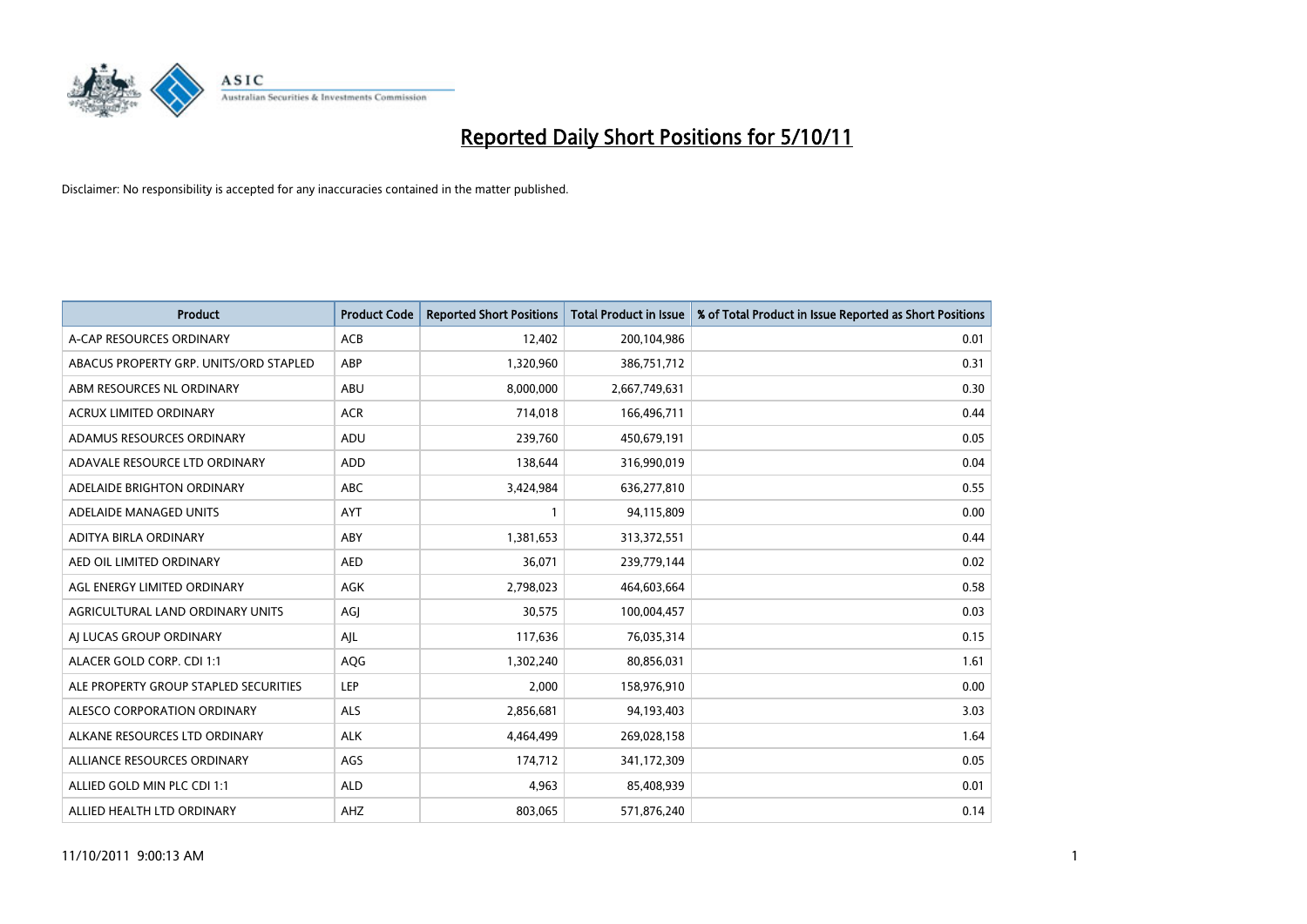

| <b>Product</b>                         | <b>Product Code</b> | <b>Reported Short Positions</b> | <b>Total Product in Issue</b> | % of Total Product in Issue Reported as Short Positions |
|----------------------------------------|---------------------|---------------------------------|-------------------------------|---------------------------------------------------------|
| A-CAP RESOURCES ORDINARY               | <b>ACB</b>          | 12,402                          | 200,104,986                   | 0.01                                                    |
| ABACUS PROPERTY GRP. UNITS/ORD STAPLED | ABP                 | 1,320,960                       | 386,751,712                   | 0.31                                                    |
| ABM RESOURCES NL ORDINARY              | ABU                 | 8,000,000                       | 2,667,749,631                 | 0.30                                                    |
| ACRUX LIMITED ORDINARY                 | <b>ACR</b>          | 714,018                         | 166,496,711                   | 0.44                                                    |
| ADAMUS RESOURCES ORDINARY              | ADU                 | 239,760                         | 450,679,191                   | 0.05                                                    |
| ADAVALE RESOURCE LTD ORDINARY          | <b>ADD</b>          | 138,644                         | 316,990,019                   | 0.04                                                    |
| ADELAIDE BRIGHTON ORDINARY             | <b>ABC</b>          | 3,424,984                       | 636,277,810                   | 0.55                                                    |
| ADELAIDE MANAGED UNITS                 | <b>AYT</b>          |                                 | 94,115,809                    | 0.00                                                    |
| ADITYA BIRLA ORDINARY                  | ABY                 | 1,381,653                       | 313,372,551                   | 0.44                                                    |
| AED OIL LIMITED ORDINARY               | <b>AED</b>          | 36,071                          | 239,779,144                   | 0.02                                                    |
| AGL ENERGY LIMITED ORDINARY            | <b>AGK</b>          | 2,798,023                       | 464,603,664                   | 0.58                                                    |
| AGRICULTURAL LAND ORDINARY UNITS       | AGI                 | 30,575                          | 100,004,457                   | 0.03                                                    |
| AI LUCAS GROUP ORDINARY                | AJL                 | 117,636                         | 76,035,314                    | 0.15                                                    |
| ALACER GOLD CORP. CDI 1:1              | <b>AQG</b>          | 1,302,240                       | 80,856,031                    | 1.61                                                    |
| ALE PROPERTY GROUP STAPLED SECURITIES  | LEP                 | 2,000                           | 158,976,910                   | 0.00                                                    |
| ALESCO CORPORATION ORDINARY            | ALS                 | 2,856,681                       | 94,193,403                    | 3.03                                                    |
| ALKANE RESOURCES LTD ORDINARY          | <b>ALK</b>          | 4,464,499                       | 269,028,158                   | 1.64                                                    |
| ALLIANCE RESOURCES ORDINARY            | AGS                 | 174,712                         | 341,172,309                   | 0.05                                                    |
| ALLIED GOLD MIN PLC CDI 1:1            | <b>ALD</b>          | 4,963                           | 85,408,939                    | 0.01                                                    |
| ALLIED HEALTH LTD ORDINARY             | AHZ                 | 803.065                         | 571,876,240                   | 0.14                                                    |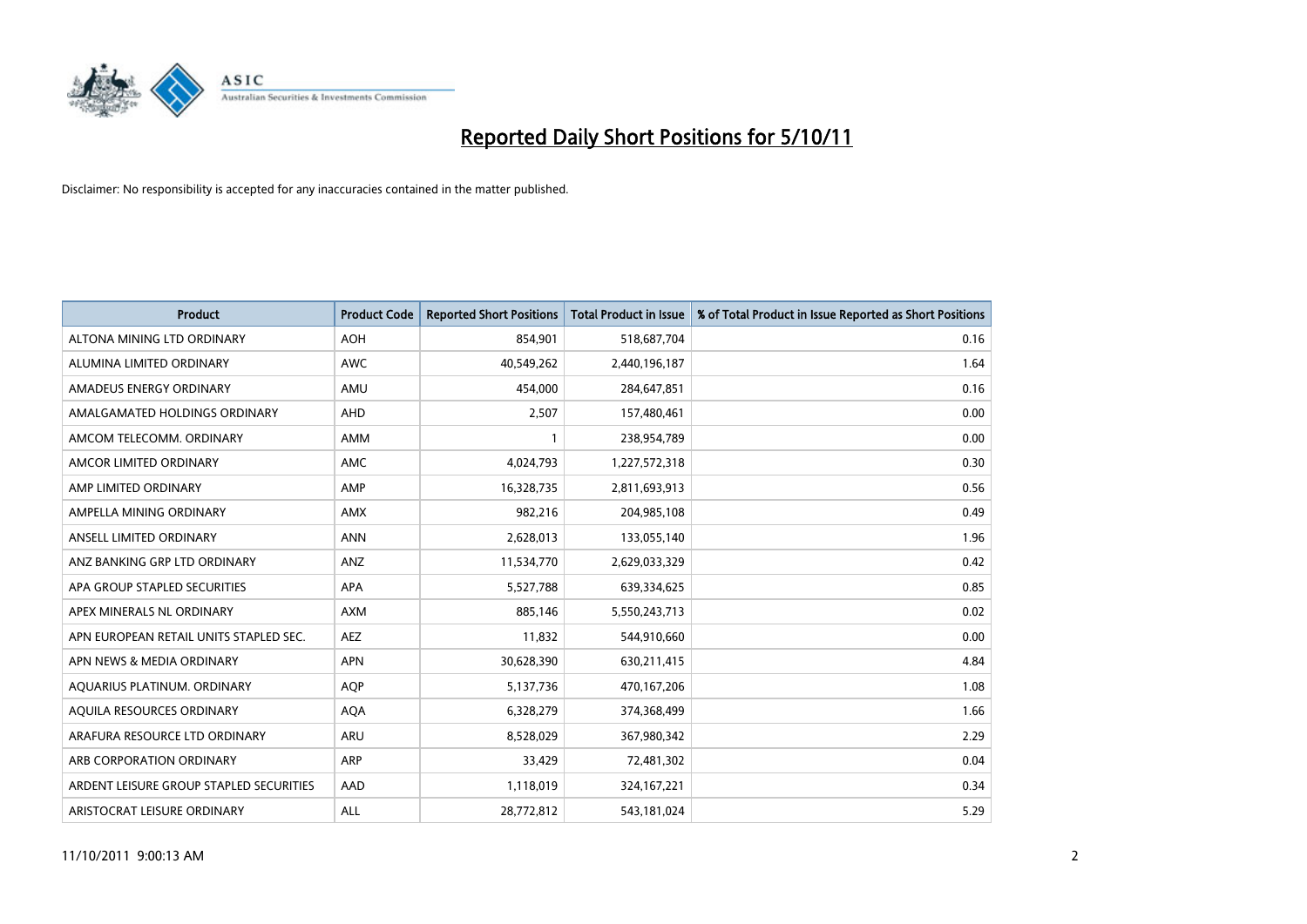

| <b>Product</b>                          | <b>Product Code</b> | <b>Reported Short Positions</b> | <b>Total Product in Issue</b> | % of Total Product in Issue Reported as Short Positions |
|-----------------------------------------|---------------------|---------------------------------|-------------------------------|---------------------------------------------------------|
| ALTONA MINING LTD ORDINARY              | <b>AOH</b>          | 854,901                         | 518,687,704                   | 0.16                                                    |
| ALUMINA LIMITED ORDINARY                | <b>AWC</b>          | 40,549,262                      | 2,440,196,187                 | 1.64                                                    |
| AMADEUS ENERGY ORDINARY                 | AMU                 | 454,000                         | 284,647,851                   | 0.16                                                    |
| AMALGAMATED HOLDINGS ORDINARY           | <b>AHD</b>          | 2,507                           | 157,480,461                   | 0.00                                                    |
| AMCOM TELECOMM. ORDINARY                | <b>AMM</b>          |                                 | 238,954,789                   | 0.00                                                    |
| AMCOR LIMITED ORDINARY                  | <b>AMC</b>          | 4,024,793                       | 1,227,572,318                 | 0.30                                                    |
| AMP LIMITED ORDINARY                    | AMP                 | 16,328,735                      | 2,811,693,913                 | 0.56                                                    |
| AMPELLA MINING ORDINARY                 | <b>AMX</b>          | 982,216                         | 204,985,108                   | 0.49                                                    |
| ANSELL LIMITED ORDINARY                 | <b>ANN</b>          | 2,628,013                       | 133,055,140                   | 1.96                                                    |
| ANZ BANKING GRP LTD ORDINARY            | <b>ANZ</b>          | 11,534,770                      | 2,629,033,329                 | 0.42                                                    |
| APA GROUP STAPLED SECURITIES            | <b>APA</b>          | 5,527,788                       | 639,334,625                   | 0.85                                                    |
| APEX MINERALS NL ORDINARY               | <b>AXM</b>          | 885,146                         | 5,550,243,713                 | 0.02                                                    |
| APN EUROPEAN RETAIL UNITS STAPLED SEC.  | <b>AEZ</b>          | 11,832                          | 544,910,660                   | 0.00                                                    |
| APN NEWS & MEDIA ORDINARY               | <b>APN</b>          | 30,628,390                      | 630,211,415                   | 4.84                                                    |
| AQUARIUS PLATINUM. ORDINARY             | <b>AOP</b>          | 5,137,736                       | 470,167,206                   | 1.08                                                    |
| AQUILA RESOURCES ORDINARY               | <b>AQA</b>          | 6,328,279                       | 374,368,499                   | 1.66                                                    |
| ARAFURA RESOURCE LTD ORDINARY           | <b>ARU</b>          | 8,528,029                       | 367,980,342                   | 2.29                                                    |
| ARB CORPORATION ORDINARY                | <b>ARP</b>          | 33,429                          | 72,481,302                    | 0.04                                                    |
| ARDENT LEISURE GROUP STAPLED SECURITIES | AAD                 | 1,118,019                       | 324, 167, 221                 | 0.34                                                    |
| ARISTOCRAT LEISURE ORDINARY             | <b>ALL</b>          | 28,772,812                      | 543,181,024                   | 5.29                                                    |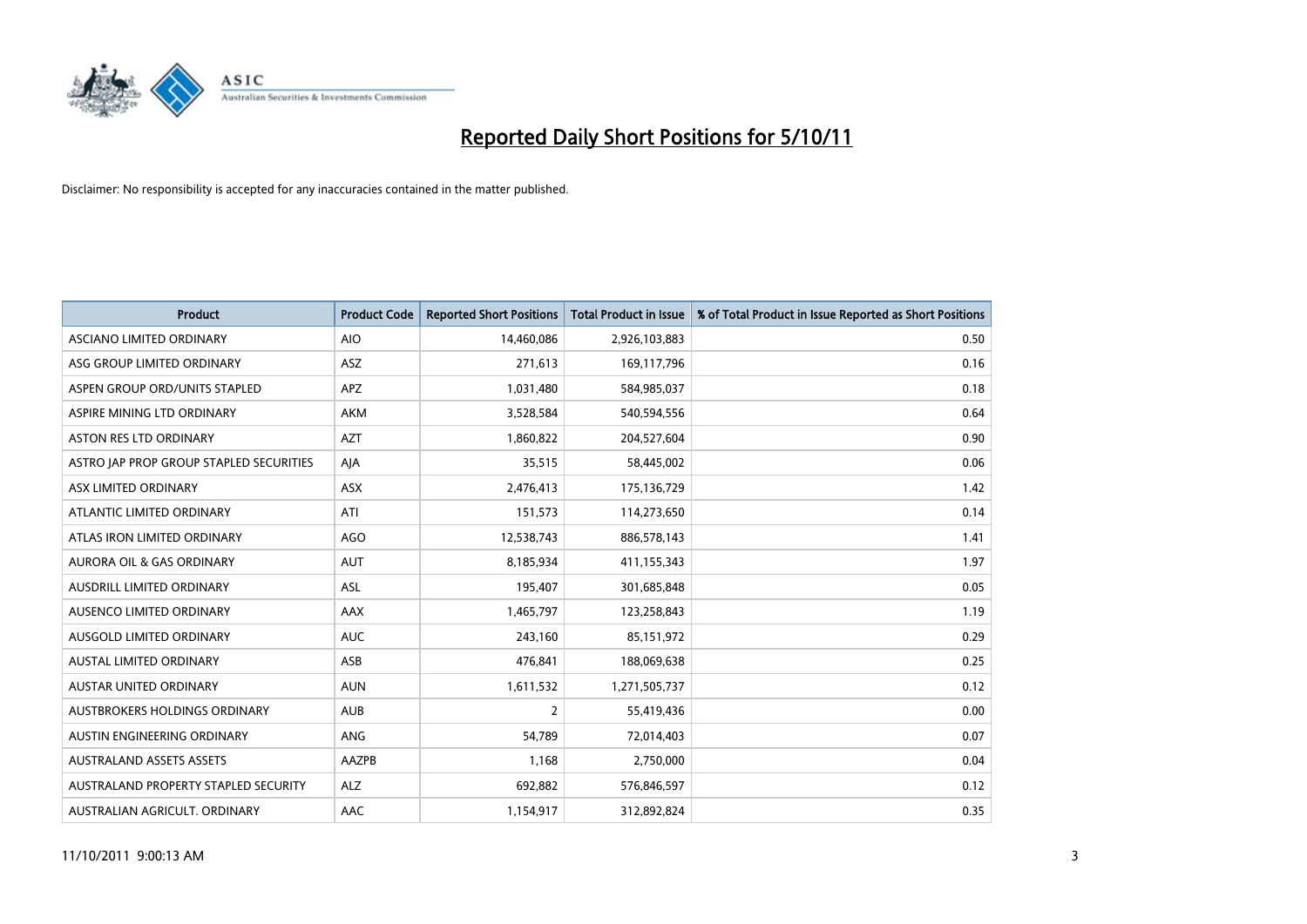

| <b>Product</b>                          | <b>Product Code</b> | <b>Reported Short Positions</b> | <b>Total Product in Issue</b> | % of Total Product in Issue Reported as Short Positions |
|-----------------------------------------|---------------------|---------------------------------|-------------------------------|---------------------------------------------------------|
| ASCIANO LIMITED ORDINARY                | <b>AIO</b>          | 14,460,086                      | 2,926,103,883                 | 0.50                                                    |
| ASG GROUP LIMITED ORDINARY              | <b>ASZ</b>          | 271,613                         | 169,117,796                   | 0.16                                                    |
| ASPEN GROUP ORD/UNITS STAPLED           | <b>APZ</b>          | 1,031,480                       | 584,985,037                   | 0.18                                                    |
| ASPIRE MINING LTD ORDINARY              | <b>AKM</b>          | 3,528,584                       | 540,594,556                   | 0.64                                                    |
| <b>ASTON RES LTD ORDINARY</b>           | <b>AZT</b>          | 1,860,822                       | 204,527,604                   | 0.90                                                    |
| ASTRO JAP PROP GROUP STAPLED SECURITIES | AJA                 | 35,515                          | 58,445,002                    | 0.06                                                    |
| ASX LIMITED ORDINARY                    | <b>ASX</b>          | 2,476,413                       | 175,136,729                   | 1.42                                                    |
| ATLANTIC LIMITED ORDINARY               | ATI                 | 151,573                         | 114,273,650                   | 0.14                                                    |
| ATLAS IRON LIMITED ORDINARY             | AGO                 | 12,538,743                      | 886,578,143                   | 1.41                                                    |
| <b>AURORA OIL &amp; GAS ORDINARY</b>    | <b>AUT</b>          | 8,185,934                       | 411,155,343                   | 1.97                                                    |
| AUSDRILL LIMITED ORDINARY               | ASL                 | 195,407                         | 301,685,848                   | 0.05                                                    |
| AUSENCO LIMITED ORDINARY                | <b>AAX</b>          | 1,465,797                       | 123,258,843                   | 1.19                                                    |
| AUSGOLD LIMITED ORDINARY                | <b>AUC</b>          | 243,160                         | 85,151,972                    | 0.29                                                    |
| <b>AUSTAL LIMITED ORDINARY</b>          | ASB                 | 476,841                         | 188,069,638                   | 0.25                                                    |
| <b>AUSTAR UNITED ORDINARY</b>           | <b>AUN</b>          | 1,611,532                       | 1,271,505,737                 | 0.12                                                    |
| AUSTBROKERS HOLDINGS ORDINARY           | <b>AUB</b>          | 2                               | 55,419,436                    | 0.00                                                    |
| AUSTIN ENGINEERING ORDINARY             | ANG                 | 54,789                          | 72,014,403                    | 0.07                                                    |
| <b>AUSTRALAND ASSETS ASSETS</b>         | AAZPB               | 1,168                           | 2,750,000                     | 0.04                                                    |
| AUSTRALAND PROPERTY STAPLED SECURITY    | <b>ALZ</b>          | 692,882                         | 576,846,597                   | 0.12                                                    |
| AUSTRALIAN AGRICULT. ORDINARY           | AAC                 | 1,154,917                       | 312,892,824                   | 0.35                                                    |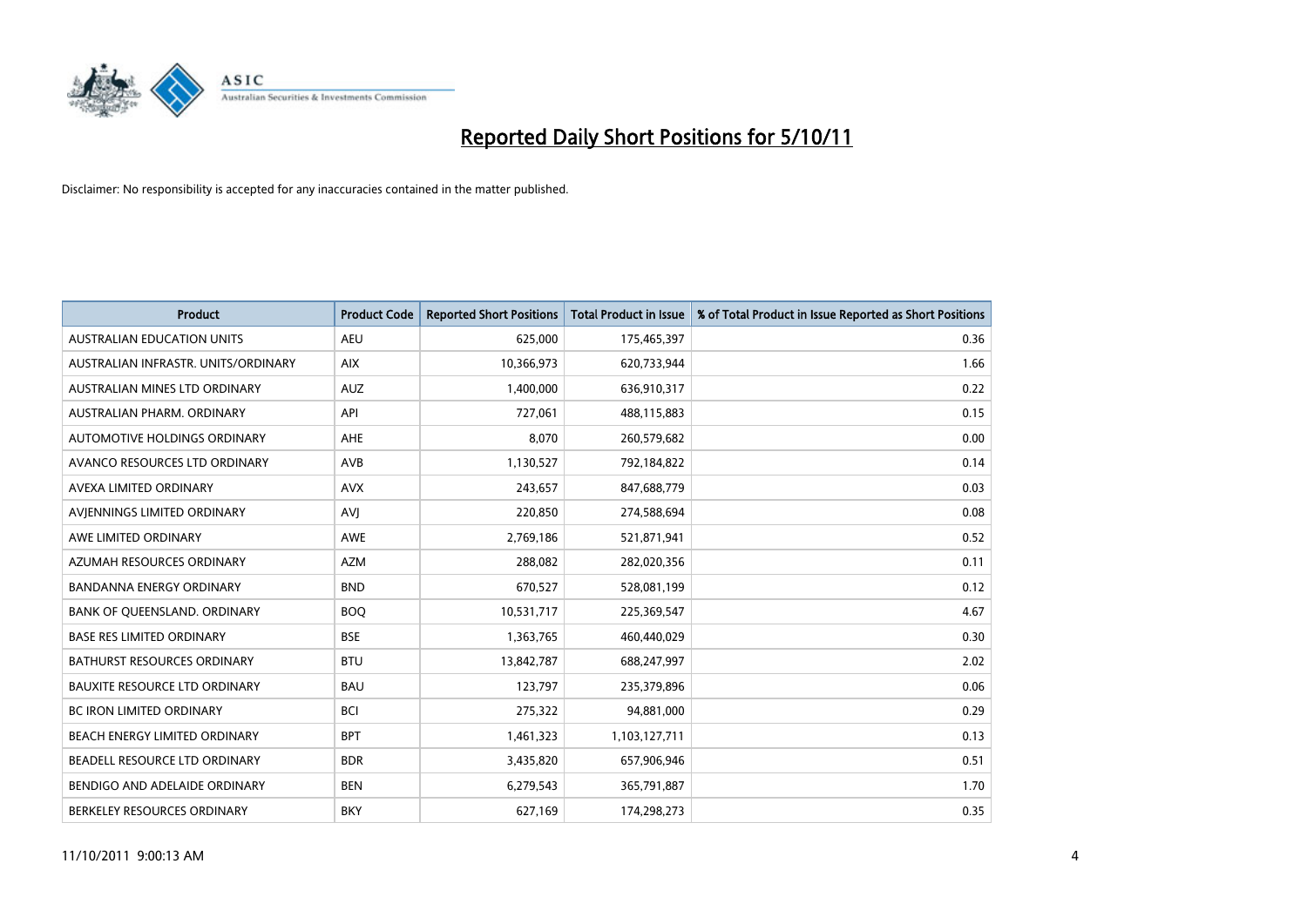

| <b>Product</b>                       | <b>Product Code</b> | <b>Reported Short Positions</b> | <b>Total Product in Issue</b> | % of Total Product in Issue Reported as Short Positions |
|--------------------------------------|---------------------|---------------------------------|-------------------------------|---------------------------------------------------------|
| <b>AUSTRALIAN EDUCATION UNITS</b>    | <b>AEU</b>          | 625,000                         | 175,465,397                   | 0.36                                                    |
| AUSTRALIAN INFRASTR. UNITS/ORDINARY  | <b>AIX</b>          | 10,366,973                      | 620,733,944                   | 1.66                                                    |
| AUSTRALIAN MINES LTD ORDINARY        | <b>AUZ</b>          | 1,400,000                       | 636,910,317                   | 0.22                                                    |
| AUSTRALIAN PHARM. ORDINARY           | API                 | 727,061                         | 488,115,883                   | 0.15                                                    |
| AUTOMOTIVE HOLDINGS ORDINARY         | <b>AHE</b>          | 8.070                           | 260,579,682                   | 0.00                                                    |
| AVANCO RESOURCES LTD ORDINARY        | AVB                 | 1,130,527                       | 792,184,822                   | 0.14                                                    |
| AVEXA LIMITED ORDINARY               | <b>AVX</b>          | 243.657                         | 847,688,779                   | 0.03                                                    |
| AVIENNINGS LIMITED ORDINARY          | AVI                 | 220,850                         | 274,588,694                   | 0.08                                                    |
| AWE LIMITED ORDINARY                 | <b>AWE</b>          | 2,769,186                       | 521,871,941                   | 0.52                                                    |
| AZUMAH RESOURCES ORDINARY            | <b>AZM</b>          | 288,082                         | 282,020,356                   | 0.11                                                    |
| <b>BANDANNA ENERGY ORDINARY</b>      | <b>BND</b>          | 670,527                         | 528,081,199                   | 0.12                                                    |
| BANK OF QUEENSLAND. ORDINARY         | <b>BOQ</b>          | 10,531,717                      | 225,369,547                   | 4.67                                                    |
| <b>BASE RES LIMITED ORDINARY</b>     | <b>BSE</b>          | 1,363,765                       | 460,440,029                   | 0.30                                                    |
| <b>BATHURST RESOURCES ORDINARY</b>   | <b>BTU</b>          | 13,842,787                      | 688,247,997                   | 2.02                                                    |
| <b>BAUXITE RESOURCE LTD ORDINARY</b> | <b>BAU</b>          | 123,797                         | 235,379,896                   | 0.06                                                    |
| BC IRON LIMITED ORDINARY             | <b>BCI</b>          | 275,322                         | 94,881,000                    | 0.29                                                    |
| BEACH ENERGY LIMITED ORDINARY        | <b>BPT</b>          | 1,461,323                       | 1,103,127,711                 | 0.13                                                    |
| BEADELL RESOURCE LTD ORDINARY        | <b>BDR</b>          | 3,435,820                       | 657,906,946                   | 0.51                                                    |
| BENDIGO AND ADELAIDE ORDINARY        | <b>BEN</b>          | 6,279,543                       | 365,791,887                   | 1.70                                                    |
| BERKELEY RESOURCES ORDINARY          | <b>BKY</b>          | 627,169                         | 174.298.273                   | 0.35                                                    |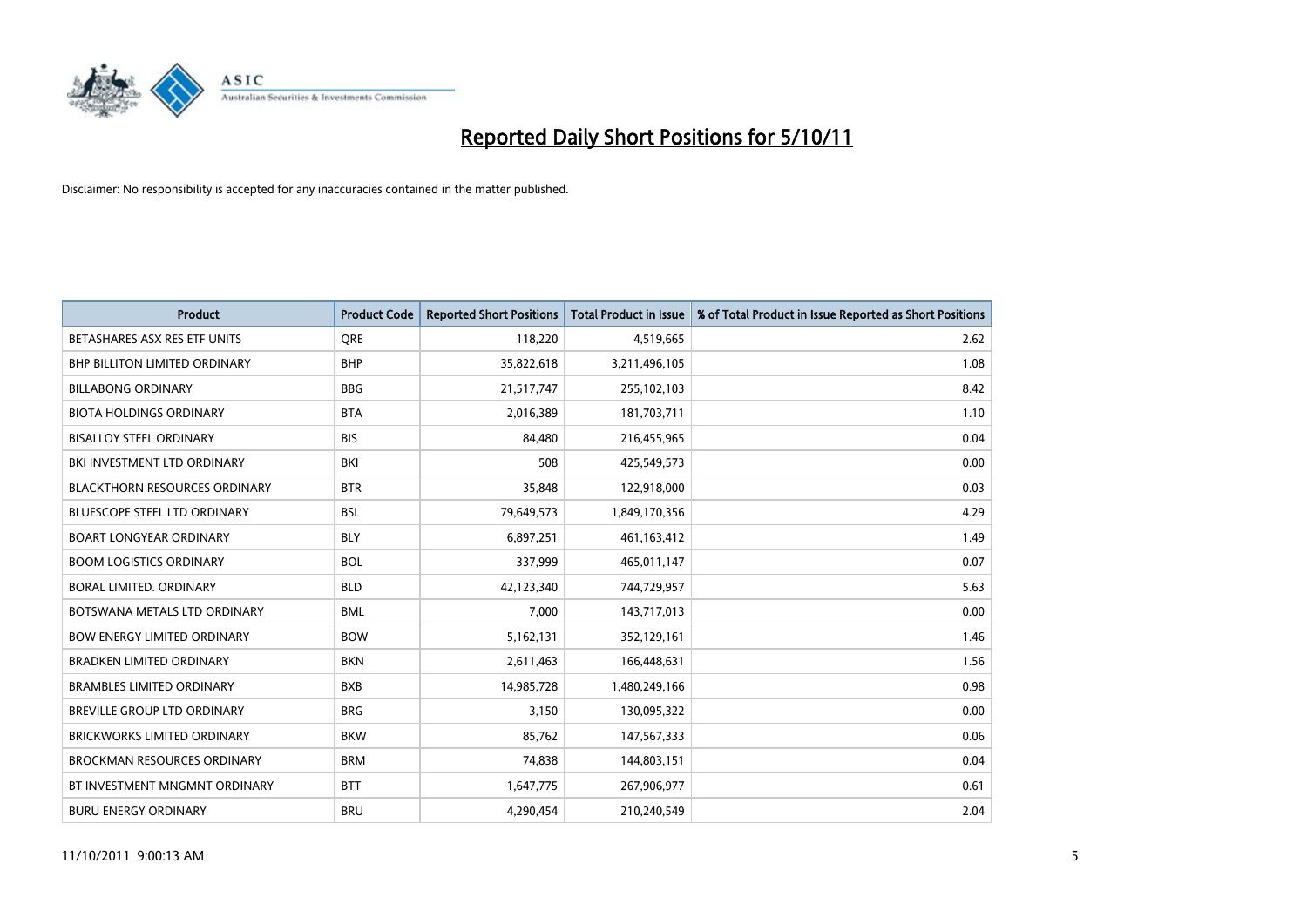

| <b>Product</b>                       | <b>Product Code</b> | <b>Reported Short Positions</b> | <b>Total Product in Issue</b> | % of Total Product in Issue Reported as Short Positions |
|--------------------------------------|---------------------|---------------------------------|-------------------------------|---------------------------------------------------------|
| BETASHARES ASX RES ETF UNITS         | <b>ORE</b>          | 118,220                         | 4,519,665                     | 2.62                                                    |
| <b>BHP BILLITON LIMITED ORDINARY</b> | <b>BHP</b>          | 35,822,618                      | 3,211,496,105                 | 1.08                                                    |
| <b>BILLABONG ORDINARY</b>            | <b>BBG</b>          | 21,517,747                      | 255,102,103                   | 8.42                                                    |
| <b>BIOTA HOLDINGS ORDINARY</b>       | <b>BTA</b>          | 2,016,389                       | 181,703,711                   | 1.10                                                    |
| <b>BISALLOY STEEL ORDINARY</b>       | <b>BIS</b>          | 84,480                          | 216,455,965                   | 0.04                                                    |
| BKI INVESTMENT LTD ORDINARY          | <b>BKI</b>          | 508                             | 425,549,573                   | 0.00                                                    |
| <b>BLACKTHORN RESOURCES ORDINARY</b> | <b>BTR</b>          | 35,848                          | 122,918,000                   | 0.03                                                    |
| BLUESCOPE STEEL LTD ORDINARY         | <b>BSL</b>          | 79,649,573                      | 1,849,170,356                 | 4.29                                                    |
| <b>BOART LONGYEAR ORDINARY</b>       | <b>BLY</b>          | 6,897,251                       | 461,163,412                   | 1.49                                                    |
| <b>BOOM LOGISTICS ORDINARY</b>       | <b>BOL</b>          | 337,999                         | 465,011,147                   | 0.07                                                    |
| BORAL LIMITED. ORDINARY              | <b>BLD</b>          | 42,123,340                      | 744,729,957                   | 5.63                                                    |
| BOTSWANA METALS LTD ORDINARY         | <b>BML</b>          | 7,000                           | 143,717,013                   | 0.00                                                    |
| <b>BOW ENERGY LIMITED ORDINARY</b>   | <b>BOW</b>          | 5,162,131                       | 352,129,161                   | 1.46                                                    |
| <b>BRADKEN LIMITED ORDINARY</b>      | <b>BKN</b>          | 2,611,463                       | 166,448,631                   | 1.56                                                    |
| <b>BRAMBLES LIMITED ORDINARY</b>     | <b>BXB</b>          | 14,985,728                      | 1,480,249,166                 | 0.98                                                    |
| BREVILLE GROUP LTD ORDINARY          | <b>BRG</b>          | 3,150                           | 130,095,322                   | 0.00                                                    |
| BRICKWORKS LIMITED ORDINARY          | <b>BKW</b>          | 85,762                          | 147,567,333                   | 0.06                                                    |
| <b>BROCKMAN RESOURCES ORDINARY</b>   | <b>BRM</b>          | 74,838                          | 144,803,151                   | 0.04                                                    |
| BT INVESTMENT MNGMNT ORDINARY        | <b>BTT</b>          | 1,647,775                       | 267,906,977                   | 0.61                                                    |
| <b>BURU ENERGY ORDINARY</b>          | <b>BRU</b>          | 4,290,454                       | 210,240,549                   | 2.04                                                    |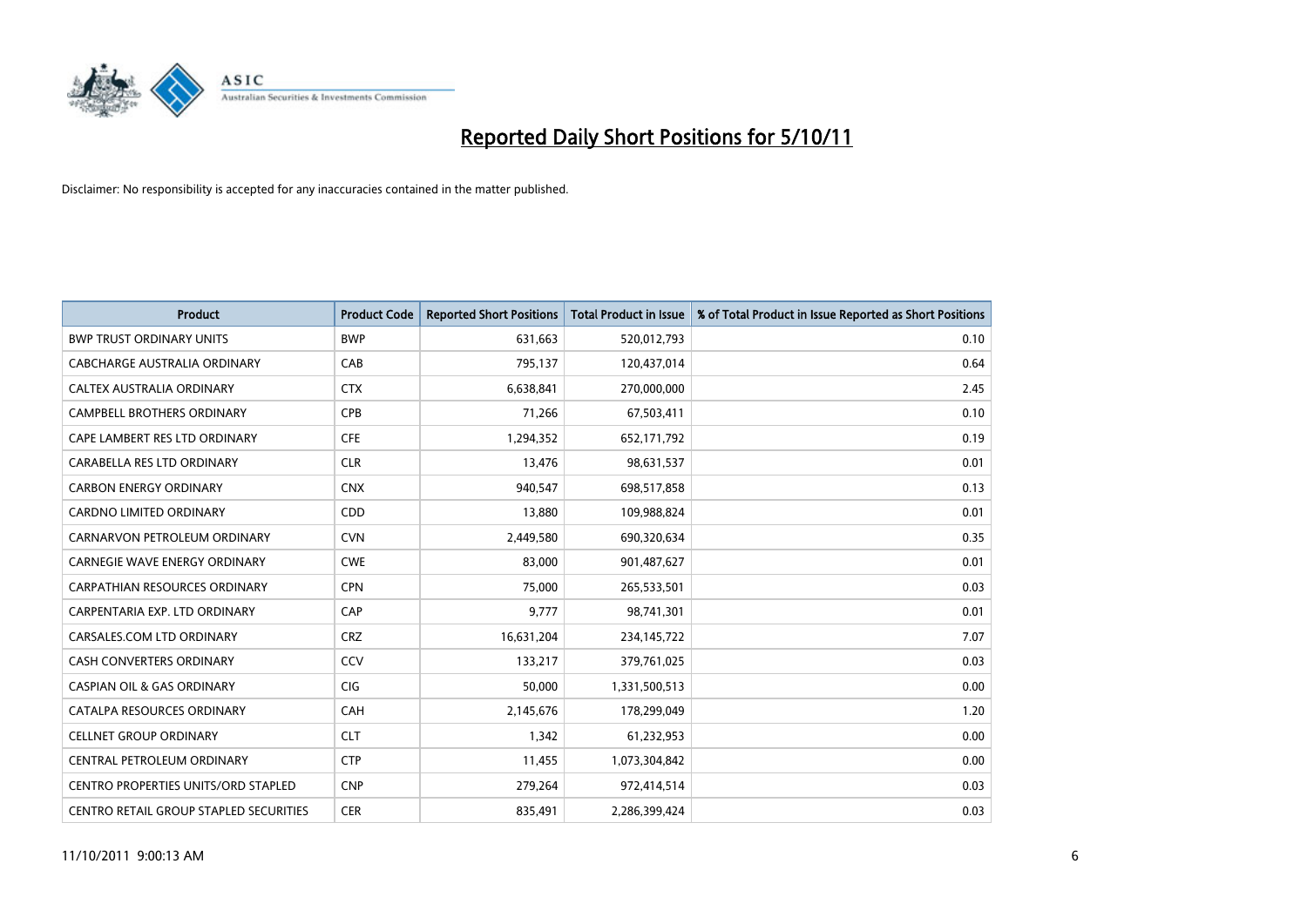

| <b>Product</b>                             | <b>Product Code</b> | <b>Reported Short Positions</b> | <b>Total Product in Issue</b> | % of Total Product in Issue Reported as Short Positions |
|--------------------------------------------|---------------------|---------------------------------|-------------------------------|---------------------------------------------------------|
| <b>BWP TRUST ORDINARY UNITS</b>            | <b>BWP</b>          | 631,663                         | 520,012,793                   | 0.10                                                    |
| CABCHARGE AUSTRALIA ORDINARY               | CAB                 | 795,137                         | 120,437,014                   | 0.64                                                    |
| <b>CALTEX AUSTRALIA ORDINARY</b>           | <b>CTX</b>          | 6,638,841                       | 270,000,000                   | 2.45                                                    |
| CAMPBELL BROTHERS ORDINARY                 | <b>CPB</b>          | 71,266                          | 67,503,411                    | 0.10                                                    |
| CAPE LAMBERT RES LTD ORDINARY              | <b>CFE</b>          | 1,294,352                       | 652,171,792                   | 0.19                                                    |
| CARABELLA RES LTD ORDINARY                 | <b>CLR</b>          | 13,476                          | 98,631,537                    | 0.01                                                    |
| <b>CARBON ENERGY ORDINARY</b>              | <b>CNX</b>          | 940.547                         | 698,517,858                   | 0.13                                                    |
| CARDNO LIMITED ORDINARY                    | CDD                 | 13,880                          | 109,988,824                   | 0.01                                                    |
| CARNARVON PETROLEUM ORDINARY               | <b>CVN</b>          | 2,449,580                       | 690,320,634                   | 0.35                                                    |
| <b>CARNEGIE WAVE ENERGY ORDINARY</b>       | <b>CWE</b>          | 83,000                          | 901,487,627                   | 0.01                                                    |
| CARPATHIAN RESOURCES ORDINARY              | <b>CPN</b>          | 75,000                          | 265,533,501                   | 0.03                                                    |
| CARPENTARIA EXP. LTD ORDINARY              | CAP                 | 9,777                           | 98,741,301                    | 0.01                                                    |
| CARSALES.COM LTD ORDINARY                  | <b>CRZ</b>          | 16,631,204                      | 234,145,722                   | 7.07                                                    |
| <b>CASH CONVERTERS ORDINARY</b>            | CCV                 | 133,217                         | 379,761,025                   | 0.03                                                    |
| <b>CASPIAN OIL &amp; GAS ORDINARY</b>      | <b>CIG</b>          | 50,000                          | 1,331,500,513                 | 0.00                                                    |
| CATALPA RESOURCES ORDINARY                 | CAH                 | 2,145,676                       | 178,299,049                   | 1.20                                                    |
| <b>CELLNET GROUP ORDINARY</b>              | <b>CLT</b>          | 1,342                           | 61,232,953                    | 0.00                                                    |
| CENTRAL PETROLEUM ORDINARY                 | <b>CTP</b>          | 11,455                          | 1,073,304,842                 | 0.00                                                    |
| <b>CENTRO PROPERTIES UNITS/ORD STAPLED</b> | <b>CNP</b>          | 279,264                         | 972,414,514                   | 0.03                                                    |
| CENTRO RETAIL GROUP STAPLED SECURITIES     | <b>CER</b>          | 835,491                         | 2,286,399,424                 | 0.03                                                    |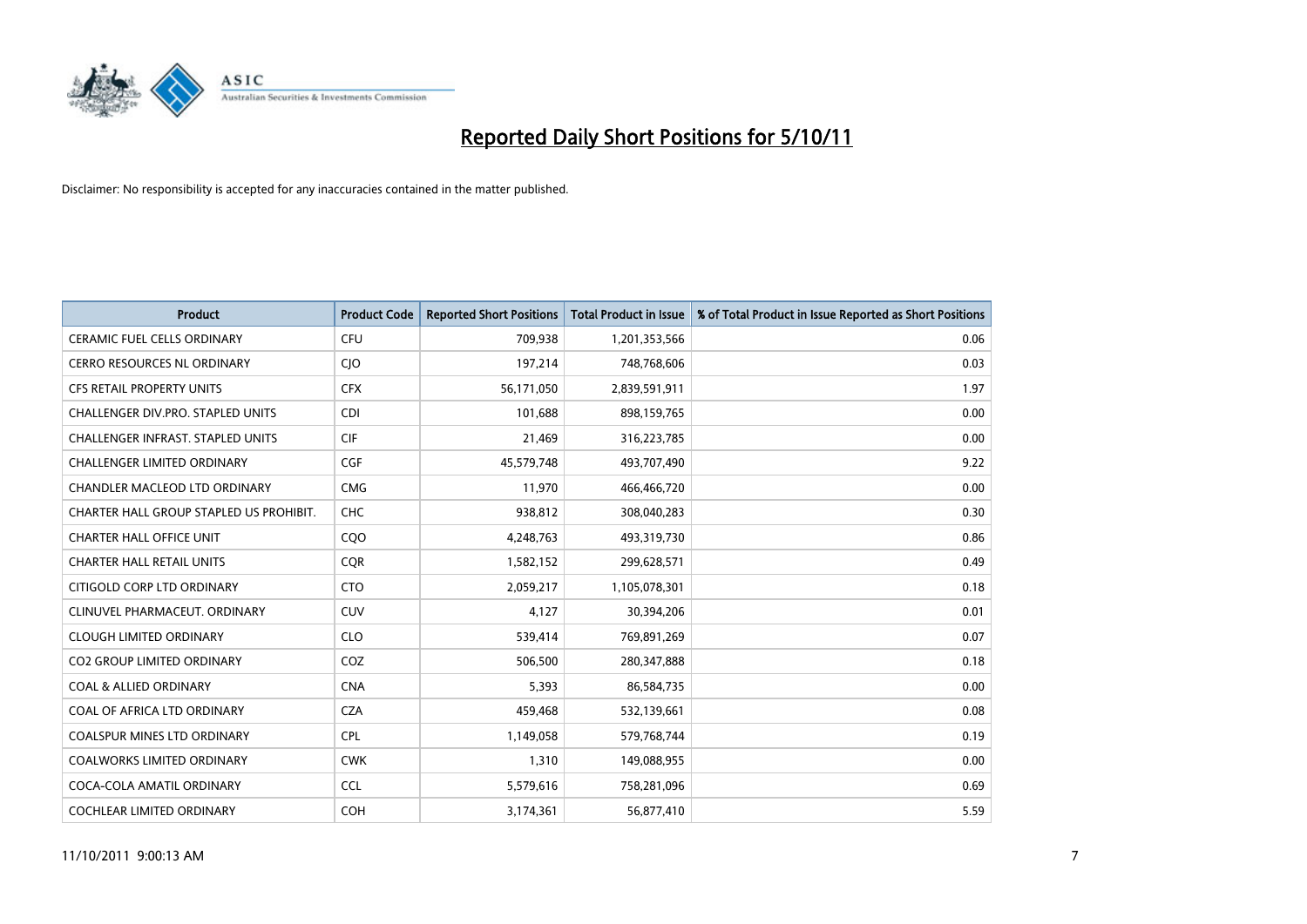

| <b>Product</b>                           | <b>Product Code</b> | <b>Reported Short Positions</b> | <b>Total Product in Issue</b> | % of Total Product in Issue Reported as Short Positions |
|------------------------------------------|---------------------|---------------------------------|-------------------------------|---------------------------------------------------------|
| <b>CERAMIC FUEL CELLS ORDINARY</b>       | <b>CFU</b>          | 709,938                         | 1,201,353,566                 | 0.06                                                    |
| CERRO RESOURCES NL ORDINARY              | <b>CIO</b>          | 197,214                         | 748,768,606                   | 0.03                                                    |
| <b>CFS RETAIL PROPERTY UNITS</b>         | <b>CFX</b>          | 56,171,050                      | 2,839,591,911                 | 1.97                                                    |
| CHALLENGER DIV.PRO. STAPLED UNITS        | <b>CDI</b>          | 101,688                         | 898,159,765                   | 0.00                                                    |
| <b>CHALLENGER INFRAST, STAPLED UNITS</b> | <b>CIF</b>          | 21,469                          | 316,223,785                   | 0.00                                                    |
| <b>CHALLENGER LIMITED ORDINARY</b>       | CGF                 | 45,579,748                      | 493,707,490                   | 9.22                                                    |
| <b>CHANDLER MACLEOD LTD ORDINARY</b>     | <b>CMG</b>          | 11,970                          | 466,466,720                   | 0.00                                                    |
| CHARTER HALL GROUP STAPLED US PROHIBIT.  | <b>CHC</b>          | 938,812                         | 308,040,283                   | 0.30                                                    |
| <b>CHARTER HALL OFFICE UNIT</b>          | COO                 | 4,248,763                       | 493,319,730                   | 0.86                                                    |
| <b>CHARTER HALL RETAIL UNITS</b>         | <b>COR</b>          | 1,582,152                       | 299,628,571                   | 0.49                                                    |
| CITIGOLD CORP LTD ORDINARY               | <b>CTO</b>          | 2,059,217                       | 1,105,078,301                 | 0.18                                                    |
| CLINUVEL PHARMACEUT, ORDINARY            | <b>CUV</b>          | 4,127                           | 30,394,206                    | 0.01                                                    |
| <b>CLOUGH LIMITED ORDINARY</b>           | <b>CLO</b>          | 539,414                         | 769,891,269                   | 0.07                                                    |
| <b>CO2 GROUP LIMITED ORDINARY</b>        | COZ                 | 506,500                         | 280,347,888                   | 0.18                                                    |
| <b>COAL &amp; ALLIED ORDINARY</b>        | <b>CNA</b>          | 5,393                           | 86,584,735                    | 0.00                                                    |
| COAL OF AFRICA LTD ORDINARY              | <b>CZA</b>          | 459,468                         | 532,139,661                   | 0.08                                                    |
| <b>COALSPUR MINES LTD ORDINARY</b>       | <b>CPL</b>          | 1,149,058                       | 579,768,744                   | 0.19                                                    |
| COALWORKS LIMITED ORDINARY               | <b>CWK</b>          | 1,310                           | 149,088,955                   | 0.00                                                    |
| COCA-COLA AMATIL ORDINARY                | <b>CCL</b>          | 5,579,616                       | 758,281,096                   | 0.69                                                    |
| COCHLEAR LIMITED ORDINARY                | <b>COH</b>          | 3,174,361                       | 56,877,410                    | 5.59                                                    |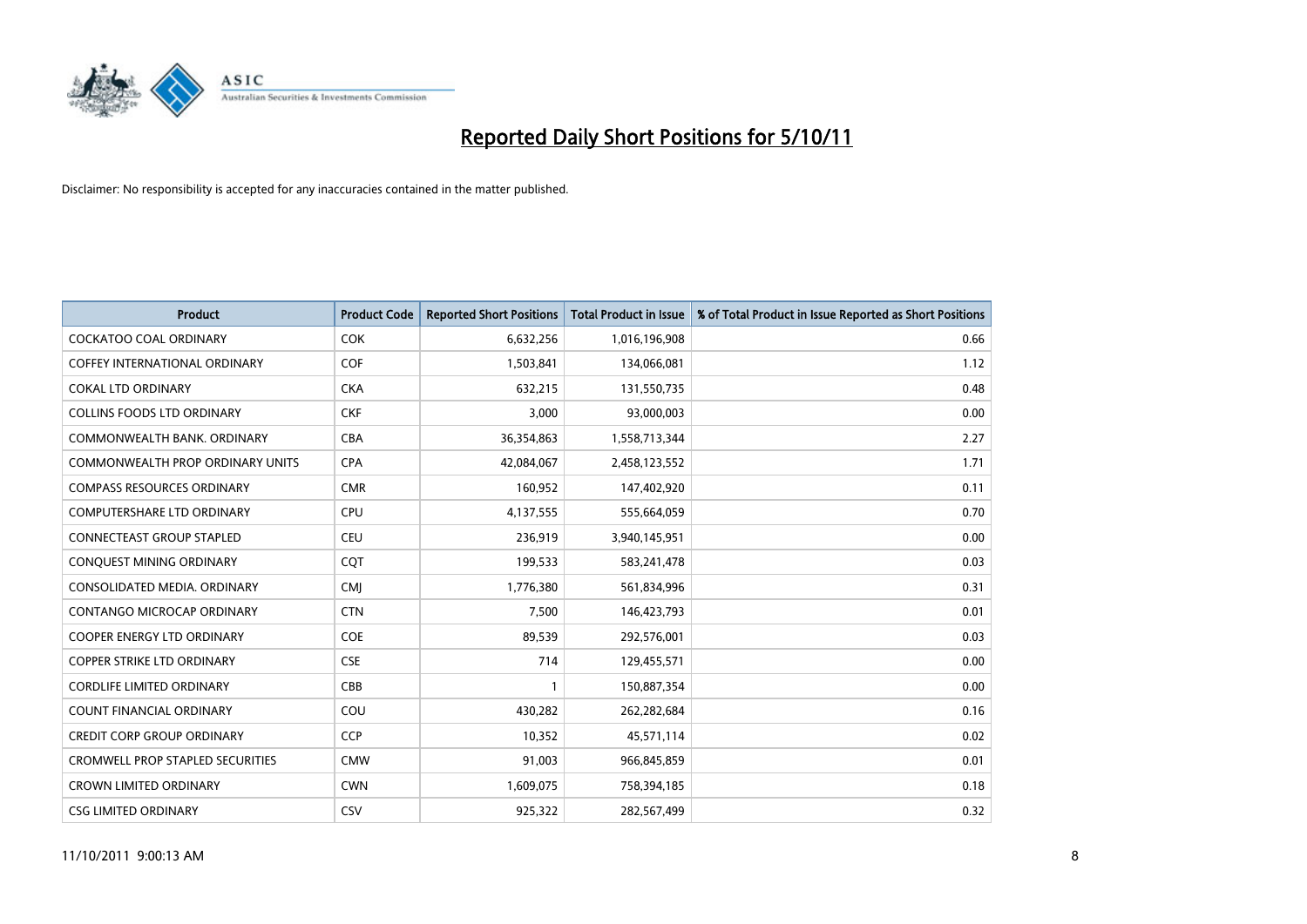

| <b>Product</b>                          | <b>Product Code</b> | <b>Reported Short Positions</b> | <b>Total Product in Issue</b> | % of Total Product in Issue Reported as Short Positions |
|-----------------------------------------|---------------------|---------------------------------|-------------------------------|---------------------------------------------------------|
| <b>COCKATOO COAL ORDINARY</b>           | <b>COK</b>          | 6,632,256                       | 1,016,196,908                 | 0.66                                                    |
| COFFEY INTERNATIONAL ORDINARY           | <b>COF</b>          | 1,503,841                       | 134,066,081                   | 1.12                                                    |
| <b>COKAL LTD ORDINARY</b>               | <b>CKA</b>          | 632,215                         | 131,550,735                   | 0.48                                                    |
| COLLINS FOODS LTD ORDINARY              | <b>CKF</b>          | 3,000                           | 93,000,003                    | 0.00                                                    |
| COMMONWEALTH BANK, ORDINARY             | CBA                 | 36,354,863                      | 1,558,713,344                 | 2.27                                                    |
| <b>COMMONWEALTH PROP ORDINARY UNITS</b> | <b>CPA</b>          | 42,084,067                      | 2,458,123,552                 | 1.71                                                    |
| <b>COMPASS RESOURCES ORDINARY</b>       | <b>CMR</b>          | 160,952                         | 147,402,920                   | 0.11                                                    |
| <b>COMPUTERSHARE LTD ORDINARY</b>       | <b>CPU</b>          | 4,137,555                       | 555,664,059                   | 0.70                                                    |
| CONNECTEAST GROUP STAPLED               | <b>CEU</b>          | 236,919                         | 3,940,145,951                 | 0.00                                                    |
| CONQUEST MINING ORDINARY                | CQT                 | 199,533                         | 583,241,478                   | 0.03                                                    |
| CONSOLIDATED MEDIA, ORDINARY            | <b>CMI</b>          | 1,776,380                       | 561,834,996                   | 0.31                                                    |
| CONTANGO MICROCAP ORDINARY              | <b>CTN</b>          | 7,500                           | 146,423,793                   | 0.01                                                    |
| <b>COOPER ENERGY LTD ORDINARY</b>       | COE                 | 89,539                          | 292,576,001                   | 0.03                                                    |
| <b>COPPER STRIKE LTD ORDINARY</b>       | <b>CSE</b>          | 714                             | 129,455,571                   | 0.00                                                    |
| <b>CORDLIFE LIMITED ORDINARY</b>        | CBB                 |                                 | 150,887,354                   | 0.00                                                    |
| COUNT FINANCIAL ORDINARY                | COU                 | 430,282                         | 262,282,684                   | 0.16                                                    |
| <b>CREDIT CORP GROUP ORDINARY</b>       | <b>CCP</b>          | 10,352                          | 45,571,114                    | 0.02                                                    |
| <b>CROMWELL PROP STAPLED SECURITIES</b> | <b>CMW</b>          | 91,003                          | 966,845,859                   | 0.01                                                    |
| <b>CROWN LIMITED ORDINARY</b>           | <b>CWN</b>          | 1,609,075                       | 758,394,185                   | 0.18                                                    |
| <b>CSG LIMITED ORDINARY</b>             | CSV                 | 925.322                         | 282,567,499                   | 0.32                                                    |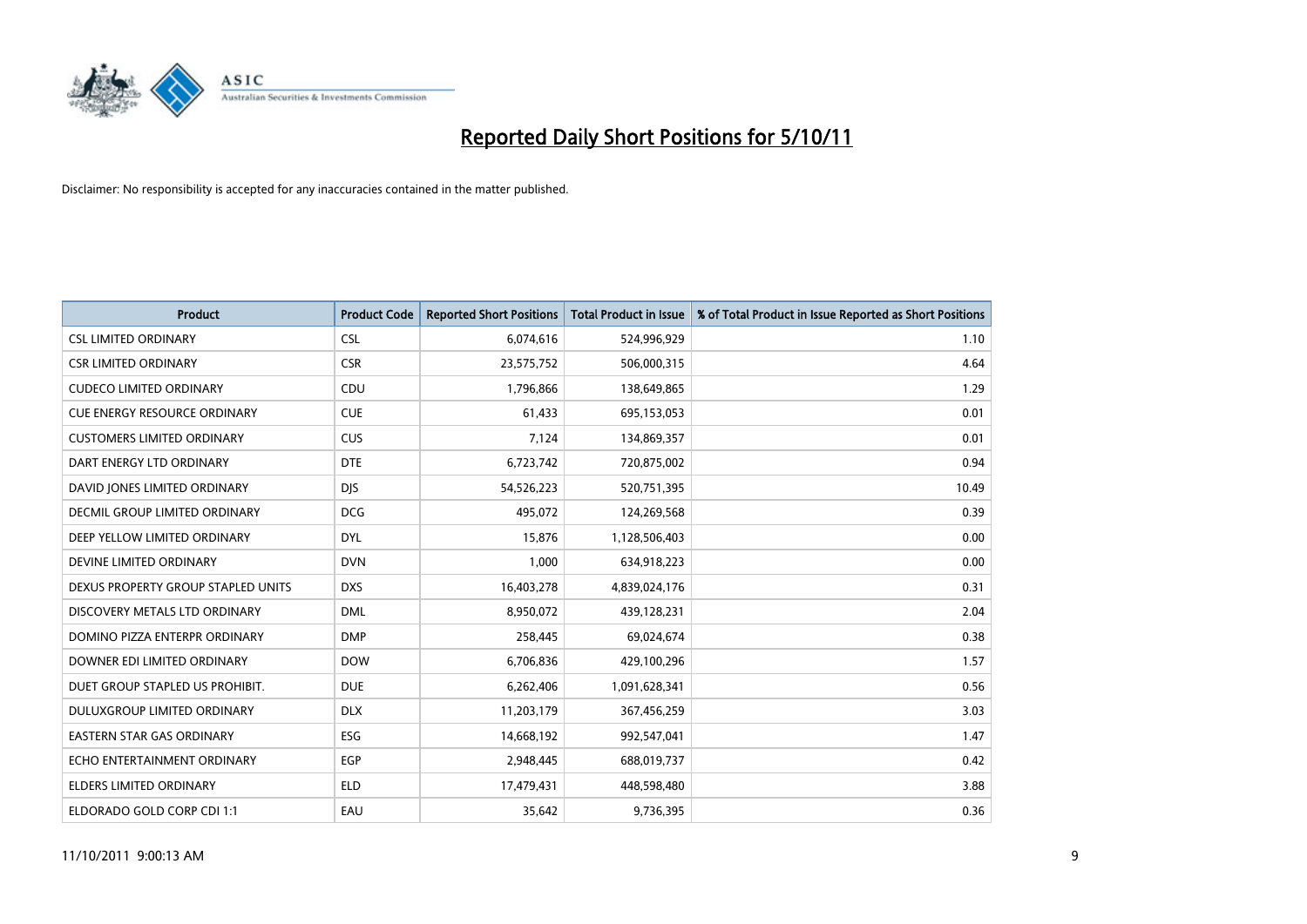

| <b>Product</b>                      | <b>Product Code</b> | <b>Reported Short Positions</b> | <b>Total Product in Issue</b> | % of Total Product in Issue Reported as Short Positions |
|-------------------------------------|---------------------|---------------------------------|-------------------------------|---------------------------------------------------------|
| <b>CSL LIMITED ORDINARY</b>         | <b>CSL</b>          | 6,074,616                       | 524,996,929                   | 1.10                                                    |
| <b>CSR LIMITED ORDINARY</b>         | <b>CSR</b>          | 23,575,752                      | 506,000,315                   | 4.64                                                    |
| <b>CUDECO LIMITED ORDINARY</b>      | <b>CDU</b>          | 1,796,866                       | 138,649,865                   | 1.29                                                    |
| <b>CUE ENERGY RESOURCE ORDINARY</b> | <b>CUE</b>          | 61,433                          | 695,153,053                   | 0.01                                                    |
| <b>CUSTOMERS LIMITED ORDINARY</b>   | <b>CUS</b>          | 7,124                           | 134,869,357                   | 0.01                                                    |
| DART ENERGY LTD ORDINARY            | <b>DTE</b>          | 6,723,742                       | 720,875,002                   | 0.94                                                    |
| DAVID JONES LIMITED ORDINARY        | <b>DIS</b>          | 54,526,223                      | 520,751,395                   | 10.49                                                   |
| DECMIL GROUP LIMITED ORDINARY       | <b>DCG</b>          | 495,072                         | 124,269,568                   | 0.39                                                    |
| DEEP YELLOW LIMITED ORDINARY        | <b>DYL</b>          | 15,876                          | 1,128,506,403                 | 0.00                                                    |
| DEVINE LIMITED ORDINARY             | <b>DVN</b>          | 1,000                           | 634,918,223                   | 0.00                                                    |
| DEXUS PROPERTY GROUP STAPLED UNITS  | <b>DXS</b>          | 16,403,278                      | 4,839,024,176                 | 0.31                                                    |
| DISCOVERY METALS LTD ORDINARY       | <b>DML</b>          | 8,950,072                       | 439,128,231                   | 2.04                                                    |
| DOMINO PIZZA ENTERPR ORDINARY       | <b>DMP</b>          | 258,445                         | 69,024,674                    | 0.38                                                    |
| DOWNER EDI LIMITED ORDINARY         | <b>DOW</b>          | 6,706,836                       | 429,100,296                   | 1.57                                                    |
| DUET GROUP STAPLED US PROHIBIT.     | <b>DUE</b>          | 6,262,406                       | 1,091,628,341                 | 0.56                                                    |
| DULUXGROUP LIMITED ORDINARY         | <b>DLX</b>          | 11,203,179                      | 367,456,259                   | 3.03                                                    |
| <b>EASTERN STAR GAS ORDINARY</b>    | ESG                 | 14,668,192                      | 992,547,041                   | 1.47                                                    |
| ECHO ENTERTAINMENT ORDINARY         | <b>EGP</b>          | 2,948,445                       | 688,019,737                   | 0.42                                                    |
| <b>ELDERS LIMITED ORDINARY</b>      | <b>ELD</b>          | 17,479,431                      | 448,598,480                   | 3.88                                                    |
| ELDORADO GOLD CORP CDI 1:1          | EAU                 | 35,642                          | 9,736,395                     | 0.36                                                    |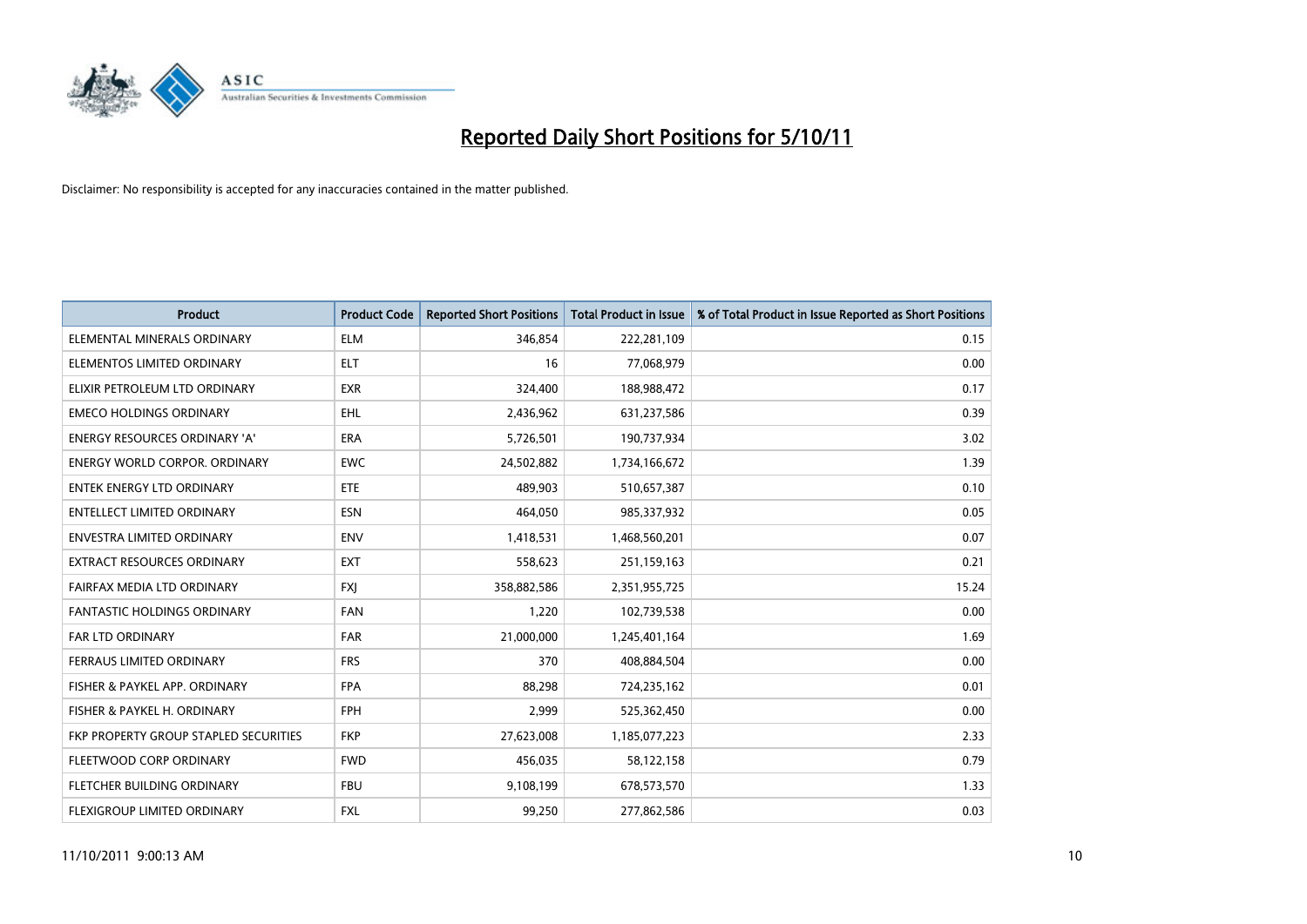

| <b>Product</b>                        | <b>Product Code</b> | <b>Reported Short Positions</b> | <b>Total Product in Issue</b> | % of Total Product in Issue Reported as Short Positions |
|---------------------------------------|---------------------|---------------------------------|-------------------------------|---------------------------------------------------------|
| ELEMENTAL MINERALS ORDINARY           | <b>ELM</b>          | 346,854                         | 222,281,109                   | 0.15                                                    |
| ELEMENTOS LIMITED ORDINARY            | <b>ELT</b>          | 16                              | 77,068,979                    | 0.00                                                    |
| ELIXIR PETROLEUM LTD ORDINARY         | <b>EXR</b>          | 324,400                         | 188,988,472                   | 0.17                                                    |
| <b>EMECO HOLDINGS ORDINARY</b>        | <b>EHL</b>          | 2,436,962                       | 631,237,586                   | 0.39                                                    |
| <b>ENERGY RESOURCES ORDINARY 'A'</b>  | <b>ERA</b>          | 5,726,501                       | 190,737,934                   | 3.02                                                    |
| <b>ENERGY WORLD CORPOR, ORDINARY</b>  | <b>EWC</b>          | 24,502,882                      | 1,734,166,672                 | 1.39                                                    |
| <b>ENTEK ENERGY LTD ORDINARY</b>      | ETE                 | 489.903                         | 510,657,387                   | 0.10                                                    |
| <b>ENTELLECT LIMITED ORDINARY</b>     | <b>ESN</b>          | 464,050                         | 985,337,932                   | 0.05                                                    |
| <b>ENVESTRA LIMITED ORDINARY</b>      | <b>ENV</b>          | 1,418,531                       | 1,468,560,201                 | 0.07                                                    |
| <b>EXTRACT RESOURCES ORDINARY</b>     | <b>EXT</b>          | 558,623                         | 251,159,163                   | 0.21                                                    |
| FAIRFAX MEDIA LTD ORDINARY            | <b>FXI</b>          | 358,882,586                     | 2,351,955,725                 | 15.24                                                   |
| <b>FANTASTIC HOLDINGS ORDINARY</b>    | <b>FAN</b>          | 1,220                           | 102,739,538                   | 0.00                                                    |
| FAR LTD ORDINARY                      | <b>FAR</b>          | 21,000,000                      | 1,245,401,164                 | 1.69                                                    |
| <b>FERRAUS LIMITED ORDINARY</b>       | <b>FRS</b>          | 370                             | 408,884,504                   | 0.00                                                    |
| FISHER & PAYKEL APP. ORDINARY         | <b>FPA</b>          | 88,298                          | 724,235,162                   | 0.01                                                    |
| FISHER & PAYKEL H. ORDINARY           | <b>FPH</b>          | 2,999                           | 525,362,450                   | 0.00                                                    |
| FKP PROPERTY GROUP STAPLED SECURITIES | <b>FKP</b>          | 27,623,008                      | 1,185,077,223                 | 2.33                                                    |
| FLEETWOOD CORP ORDINARY               | <b>FWD</b>          | 456,035                         | 58,122,158                    | 0.79                                                    |
| FLETCHER BUILDING ORDINARY            | <b>FBU</b>          | 9,108,199                       | 678,573,570                   | 1.33                                                    |
| FLEXIGROUP LIMITED ORDINARY           | <b>FXL</b>          | 99,250                          | 277,862,586                   | 0.03                                                    |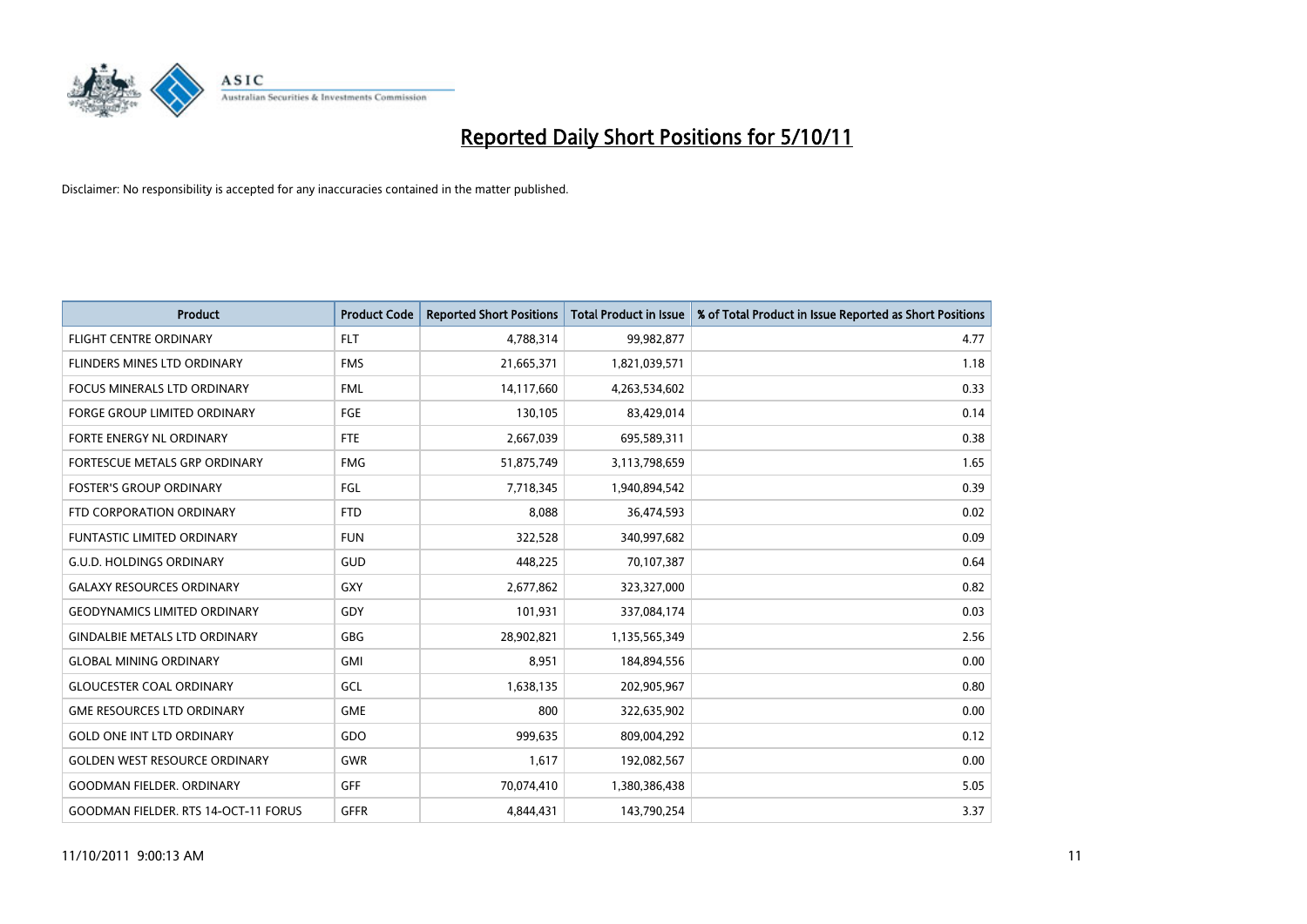

| <b>Product</b>                              | <b>Product Code</b> | <b>Reported Short Positions</b> | <b>Total Product in Issue</b> | % of Total Product in Issue Reported as Short Positions |
|---------------------------------------------|---------------------|---------------------------------|-------------------------------|---------------------------------------------------------|
| <b>FLIGHT CENTRE ORDINARY</b>               | <b>FLT</b>          | 4,788,314                       | 99,982,877                    | 4.77                                                    |
| <b>FLINDERS MINES LTD ORDINARY</b>          | <b>FMS</b>          | 21,665,371                      | 1,821,039,571                 | 1.18                                                    |
| <b>FOCUS MINERALS LTD ORDINARY</b>          | <b>FML</b>          | 14,117,660                      | 4,263,534,602                 | 0.33                                                    |
| FORGE GROUP LIMITED ORDINARY                | FGE                 | 130,105                         | 83,429,014                    | 0.14                                                    |
| <b>FORTE ENERGY NL ORDINARY</b>             | <b>FTE</b>          | 2,667,039                       | 695,589,311                   | 0.38                                                    |
| FORTESCUE METALS GRP ORDINARY               | <b>FMG</b>          | 51,875,749                      | 3,113,798,659                 | 1.65                                                    |
| <b>FOSTER'S GROUP ORDINARY</b>              | FGL                 | 7,718,345                       | 1,940,894,542                 | 0.39                                                    |
| FTD CORPORATION ORDINARY                    | <b>FTD</b>          | 8,088                           | 36,474,593                    | 0.02                                                    |
| FUNTASTIC LIMITED ORDINARY                  | <b>FUN</b>          | 322,528                         | 340,997,682                   | 0.09                                                    |
| <b>G.U.D. HOLDINGS ORDINARY</b>             | <b>GUD</b>          | 448,225                         | 70,107,387                    | 0.64                                                    |
| <b>GALAXY RESOURCES ORDINARY</b>            | GXY                 | 2,677,862                       | 323,327,000                   | 0.82                                                    |
| <b>GEODYNAMICS LIMITED ORDINARY</b>         | GDY                 | 101,931                         | 337,084,174                   | 0.03                                                    |
| <b>GINDALBIE METALS LTD ORDINARY</b>        | <b>GBG</b>          | 28,902,821                      | 1,135,565,349                 | 2.56                                                    |
| <b>GLOBAL MINING ORDINARY</b>               | GMI                 | 8.951                           | 184,894,556                   | 0.00                                                    |
| <b>GLOUCESTER COAL ORDINARY</b>             | GCL                 | 1,638,135                       | 202,905,967                   | 0.80                                                    |
| <b>GME RESOURCES LTD ORDINARY</b>           | <b>GME</b>          | 800                             | 322,635,902                   | 0.00                                                    |
| <b>GOLD ONE INT LTD ORDINARY</b>            | GDO                 | 999,635                         | 809,004,292                   | 0.12                                                    |
| <b>GOLDEN WEST RESOURCE ORDINARY</b>        | <b>GWR</b>          | 1,617                           | 192,082,567                   | 0.00                                                    |
| <b>GOODMAN FIELDER, ORDINARY</b>            | <b>GFF</b>          | 70,074,410                      | 1,380,386,438                 | 5.05                                                    |
| <b>GOODMAN FIELDER. RTS 14-OCT-11 FORUS</b> | <b>GFFR</b>         | 4.844.431                       | 143,790,254                   | 3.37                                                    |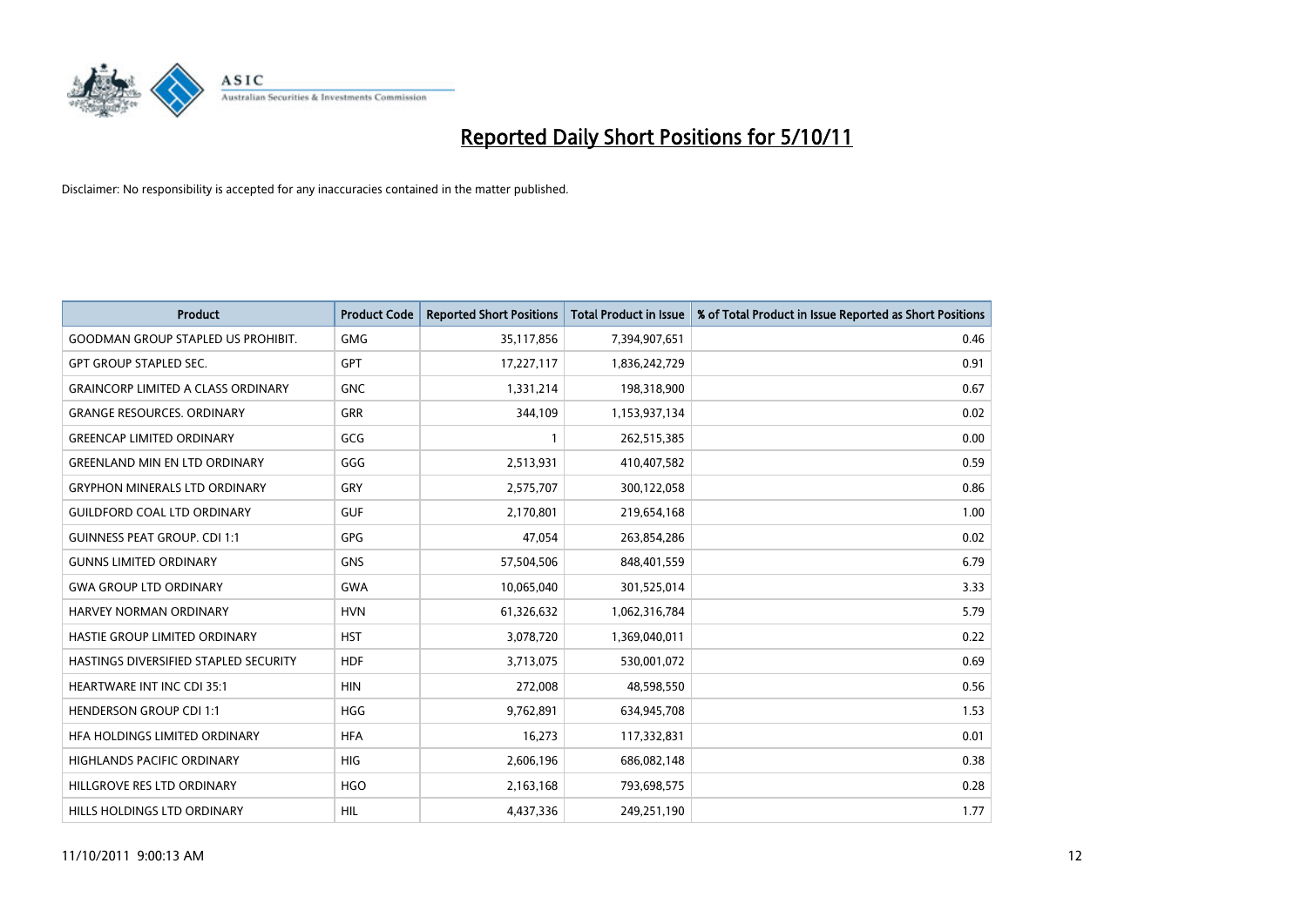

| <b>Product</b>                            | <b>Product Code</b> | <b>Reported Short Positions</b> | <b>Total Product in Issue</b> | % of Total Product in Issue Reported as Short Positions |
|-------------------------------------------|---------------------|---------------------------------|-------------------------------|---------------------------------------------------------|
| <b>GOODMAN GROUP STAPLED US PROHIBIT.</b> | <b>GMG</b>          | 35,117,856                      | 7,394,907,651                 | 0.46                                                    |
| <b>GPT GROUP STAPLED SEC.</b>             | <b>GPT</b>          | 17,227,117                      | 1,836,242,729                 | 0.91                                                    |
| <b>GRAINCORP LIMITED A CLASS ORDINARY</b> | <b>GNC</b>          | 1,331,214                       | 198,318,900                   | 0.67                                                    |
| <b>GRANGE RESOURCES. ORDINARY</b>         | <b>GRR</b>          | 344,109                         | 1,153,937,134                 | 0.02                                                    |
| <b>GREENCAP LIMITED ORDINARY</b>          | GCG                 |                                 | 262,515,385                   | 0.00                                                    |
| <b>GREENLAND MIN EN LTD ORDINARY</b>      | GGG                 | 2,513,931                       | 410,407,582                   | 0.59                                                    |
| <b>GRYPHON MINERALS LTD ORDINARY</b>      | GRY                 | 2,575,707                       | 300,122,058                   | 0.86                                                    |
| <b>GUILDFORD COAL LTD ORDINARY</b>        | <b>GUF</b>          | 2,170,801                       | 219,654,168                   | 1.00                                                    |
| <b>GUINNESS PEAT GROUP. CDI 1:1</b>       | <b>GPG</b>          | 47,054                          | 263,854,286                   | 0.02                                                    |
| <b>GUNNS LIMITED ORDINARY</b>             | <b>GNS</b>          | 57,504,506                      | 848,401,559                   | 6.79                                                    |
| <b>GWA GROUP LTD ORDINARY</b>             | <b>GWA</b>          | 10,065,040                      | 301,525,014                   | 3.33                                                    |
| HARVEY NORMAN ORDINARY                    | <b>HVN</b>          | 61,326,632                      | 1,062,316,784                 | 5.79                                                    |
| <b>HASTIE GROUP LIMITED ORDINARY</b>      | <b>HST</b>          | 3,078,720                       | 1,369,040,011                 | 0.22                                                    |
| HASTINGS DIVERSIFIED STAPLED SECURITY     | <b>HDF</b>          | 3,713,075                       | 530,001,072                   | 0.69                                                    |
| <b>HEARTWARE INT INC CDI 35:1</b>         | <b>HIN</b>          | 272,008                         | 48,598,550                    | 0.56                                                    |
| <b>HENDERSON GROUP CDI 1:1</b>            | <b>HGG</b>          | 9,762,891                       | 634,945,708                   | 1.53                                                    |
| HFA HOLDINGS LIMITED ORDINARY             | <b>HFA</b>          | 16,273                          | 117,332,831                   | 0.01                                                    |
| HIGHLANDS PACIFIC ORDINARY                | <b>HIG</b>          | 2,606,196                       | 686,082,148                   | 0.38                                                    |
| HILLGROVE RES LTD ORDINARY                | <b>HGO</b>          | 2,163,168                       | 793,698,575                   | 0.28                                                    |
| HILLS HOLDINGS LTD ORDINARY               | <b>HIL</b>          | 4.437.336                       | 249,251,190                   | 1.77                                                    |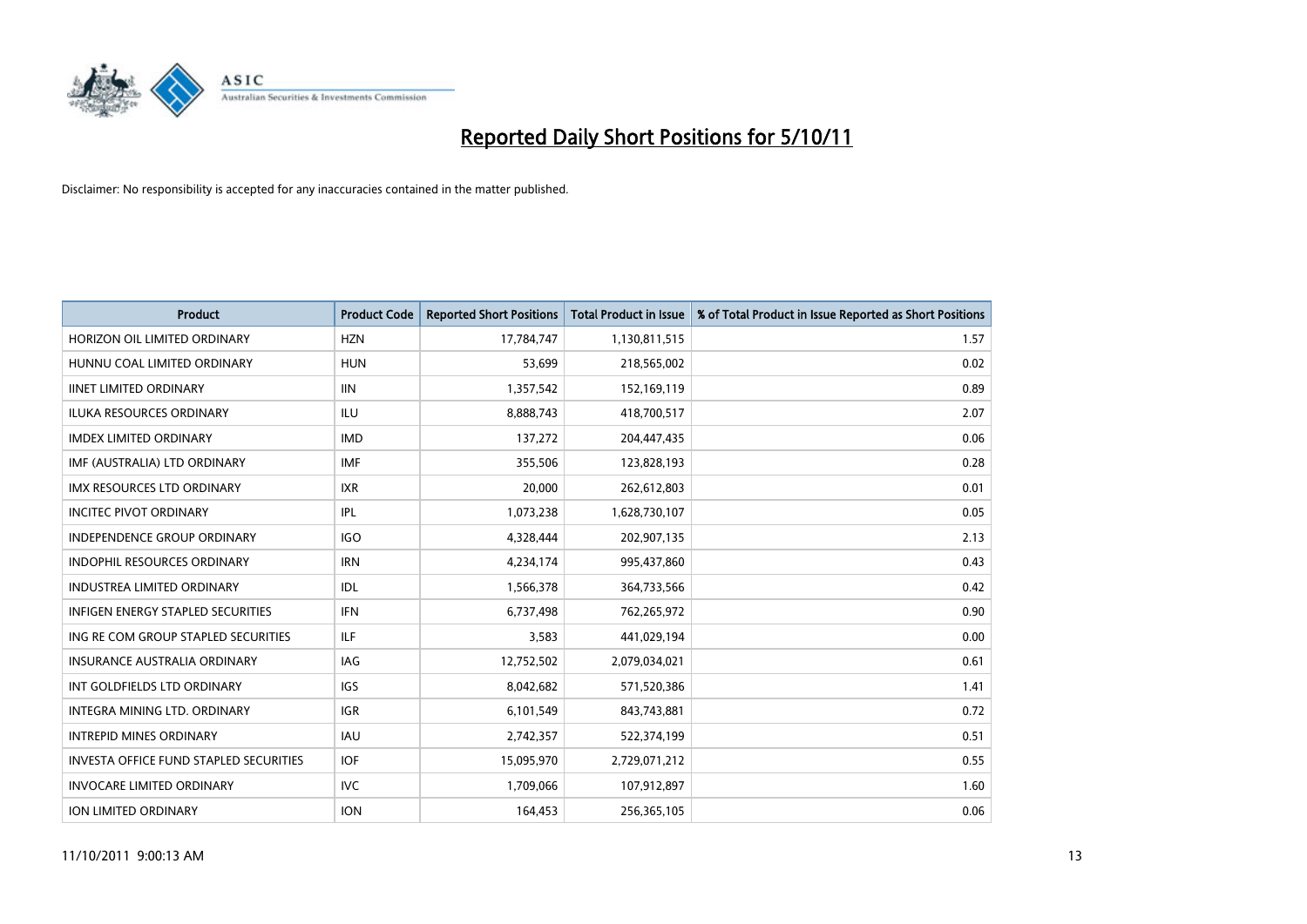

| <b>Product</b>                                | <b>Product Code</b> | <b>Reported Short Positions</b> | <b>Total Product in Issue</b> | % of Total Product in Issue Reported as Short Positions |
|-----------------------------------------------|---------------------|---------------------------------|-------------------------------|---------------------------------------------------------|
| HORIZON OIL LIMITED ORDINARY                  | <b>HZN</b>          | 17,784,747                      | 1,130,811,515                 | 1.57                                                    |
| HUNNU COAL LIMITED ORDINARY                   | <b>HUN</b>          | 53,699                          | 218,565,002                   | 0.02                                                    |
| <b>IINET LIMITED ORDINARY</b>                 | <b>IIN</b>          | 1,357,542                       | 152,169,119                   | 0.89                                                    |
| ILUKA RESOURCES ORDINARY                      | ILU                 | 8,888,743                       | 418,700,517                   | 2.07                                                    |
| <b>IMDEX LIMITED ORDINARY</b>                 | <b>IMD</b>          | 137,272                         | 204,447,435                   | 0.06                                                    |
| IMF (AUSTRALIA) LTD ORDINARY                  | <b>IMF</b>          | 355,506                         | 123,828,193                   | 0.28                                                    |
| <b>IMX RESOURCES LTD ORDINARY</b>             | <b>IXR</b>          | 20,000                          | 262,612,803                   | 0.01                                                    |
| <b>INCITEC PIVOT ORDINARY</b>                 | IPL                 | 1,073,238                       | 1,628,730,107                 | 0.05                                                    |
| INDEPENDENCE GROUP ORDINARY                   | <b>IGO</b>          | 4,328,444                       | 202,907,135                   | 2.13                                                    |
| <b>INDOPHIL RESOURCES ORDINARY</b>            | <b>IRN</b>          | 4,234,174                       | 995,437,860                   | 0.43                                                    |
| <b>INDUSTREA LIMITED ORDINARY</b>             | IDL                 | 1,566,378                       | 364,733,566                   | 0.42                                                    |
| <b>INFIGEN ENERGY STAPLED SECURITIES</b>      | <b>IFN</b>          | 6,737,498                       | 762,265,972                   | 0.90                                                    |
| ING RE COM GROUP STAPLED SECURITIES           | ILF.                | 3,583                           | 441,029,194                   | 0.00                                                    |
| <b>INSURANCE AUSTRALIA ORDINARY</b>           | IAG                 | 12,752,502                      | 2,079,034,021                 | 0.61                                                    |
| INT GOLDFIELDS LTD ORDINARY                   | <b>IGS</b>          | 8,042,682                       | 571,520,386                   | 1.41                                                    |
| <b>INTEGRA MINING LTD, ORDINARY</b>           | <b>IGR</b>          | 6,101,549                       | 843,743,881                   | 0.72                                                    |
| <b>INTREPID MINES ORDINARY</b>                | <b>IAU</b>          | 2,742,357                       | 522,374,199                   | 0.51                                                    |
| <b>INVESTA OFFICE FUND STAPLED SECURITIES</b> | <b>IOF</b>          | 15,095,970                      | 2,729,071,212                 | 0.55                                                    |
| <b>INVOCARE LIMITED ORDINARY</b>              | IVC                 | 1,709,066                       | 107,912,897                   | 1.60                                                    |
| <b>ION LIMITED ORDINARY</b>                   | <b>ION</b>          | 164,453                         | 256,365,105                   | 0.06                                                    |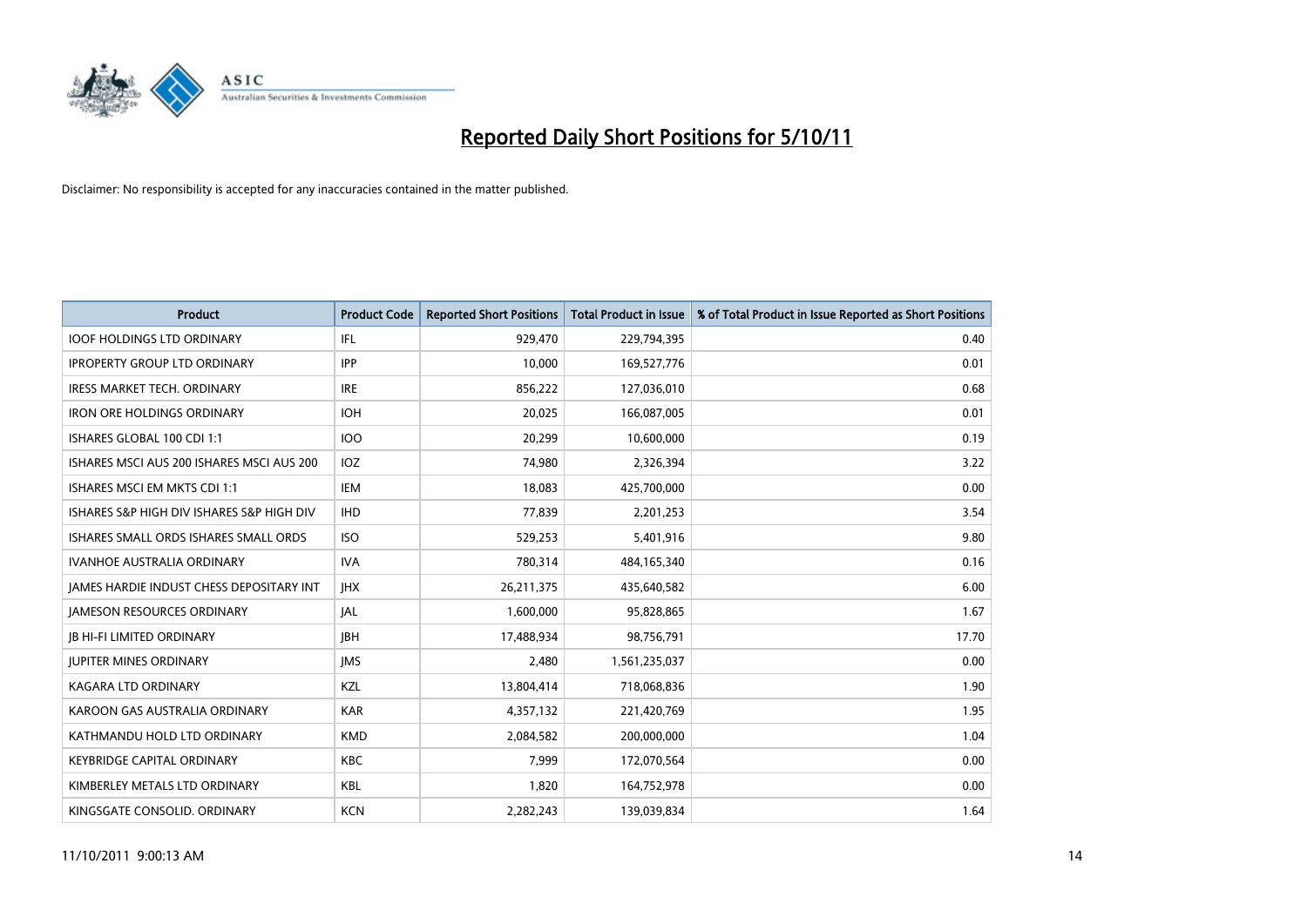

| <b>Product</b>                                  | <b>Product Code</b> | <b>Reported Short Positions</b> | <b>Total Product in Issue</b> | % of Total Product in Issue Reported as Short Positions |
|-------------------------------------------------|---------------------|---------------------------------|-------------------------------|---------------------------------------------------------|
| <b>IOOF HOLDINGS LTD ORDINARY</b>               | <b>IFL</b>          | 929.470                         | 229,794,395                   | 0.40                                                    |
| <b>IPROPERTY GROUP LTD ORDINARY</b>             | <b>IPP</b>          | 10,000                          | 169,527,776                   | 0.01                                                    |
| <b>IRESS MARKET TECH. ORDINARY</b>              | <b>IRE</b>          | 856,222                         | 127,036,010                   | 0.68                                                    |
| <b>IRON ORE HOLDINGS ORDINARY</b>               | <b>IOH</b>          | 20,025                          | 166,087,005                   | 0.01                                                    |
| ISHARES GLOBAL 100 CDI 1:1                      | 100                 | 20,299                          | 10,600,000                    | 0.19                                                    |
| ISHARES MSCI AUS 200 ISHARES MSCI AUS 200       | <b>IOZ</b>          | 74,980                          | 2,326,394                     | 3.22                                                    |
| ISHARES MSCI EM MKTS CDI 1:1                    | IEM                 | 18,083                          | 425,700,000                   | 0.00                                                    |
| ISHARES S&P HIGH DIV ISHARES S&P HIGH DIV       | <b>IHD</b>          | 77,839                          | 2,201,253                     | 3.54                                                    |
| ISHARES SMALL ORDS ISHARES SMALL ORDS           | <b>ISO</b>          | 529,253                         | 5,401,916                     | 9.80                                                    |
| <b>IVANHOE AUSTRALIA ORDINARY</b>               | <b>IVA</b>          | 780,314                         | 484,165,340                   | 0.16                                                    |
| <b>JAMES HARDIE INDUST CHESS DEPOSITARY INT</b> | <b>IHX</b>          | 26,211,375                      | 435,640,582                   | 6.00                                                    |
| <b>JAMESON RESOURCES ORDINARY</b>               | <b>JAL</b>          | 1,600,000                       | 95,828,865                    | 1.67                                                    |
| <b>JB HI-FI LIMITED ORDINARY</b>                | <b>IBH</b>          | 17,488,934                      | 98,756,791                    | 17.70                                                   |
| <b>JUPITER MINES ORDINARY</b>                   | <b>IMS</b>          | 2,480                           | 1,561,235,037                 | 0.00                                                    |
| <b>KAGARA LTD ORDINARY</b>                      | <b>KZL</b>          | 13,804,414                      | 718,068,836                   | 1.90                                                    |
| KAROON GAS AUSTRALIA ORDINARY                   | <b>KAR</b>          | 4,357,132                       | 221,420,769                   | 1.95                                                    |
| KATHMANDU HOLD LTD ORDINARY                     | <b>KMD</b>          | 2,084,582                       | 200,000,000                   | 1.04                                                    |
| <b>KEYBRIDGE CAPITAL ORDINARY</b>               | <b>KBC</b>          | 7,999                           | 172,070,564                   | 0.00                                                    |
| KIMBERLEY METALS LTD ORDINARY                   | <b>KBL</b>          | 1,820                           | 164,752,978                   | 0.00                                                    |
| KINGSGATE CONSOLID. ORDINARY                    | <b>KCN</b>          | 2,282,243                       | 139,039,834                   | 1.64                                                    |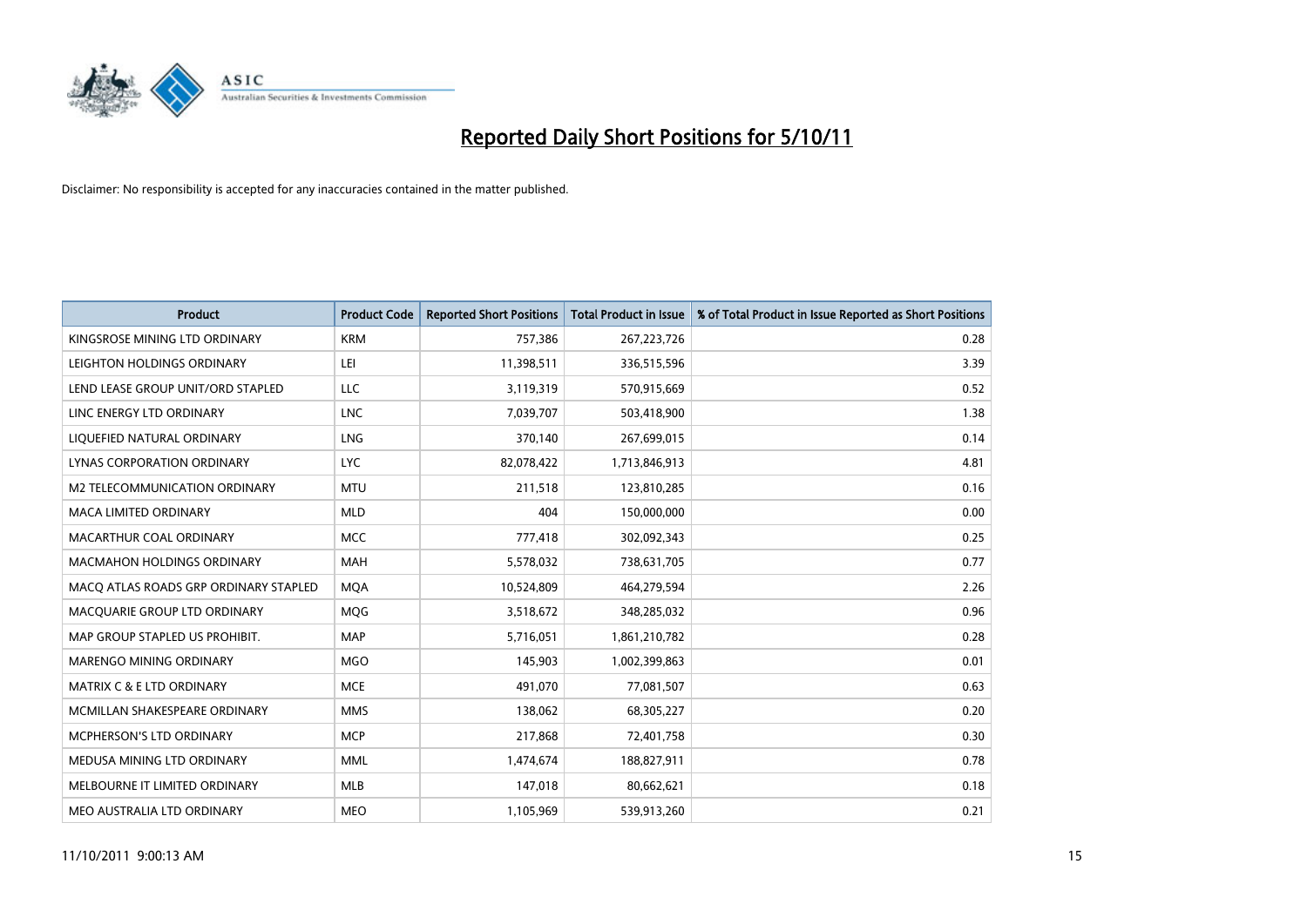

| <b>Product</b>                        | <b>Product Code</b> | <b>Reported Short Positions</b> | <b>Total Product in Issue</b> | % of Total Product in Issue Reported as Short Positions |
|---------------------------------------|---------------------|---------------------------------|-------------------------------|---------------------------------------------------------|
| KINGSROSE MINING LTD ORDINARY         | <b>KRM</b>          | 757,386                         | 267,223,726                   | 0.28                                                    |
| LEIGHTON HOLDINGS ORDINARY            | LEI                 | 11,398,511                      | 336,515,596                   | 3.39                                                    |
| LEND LEASE GROUP UNIT/ORD STAPLED     | <b>LLC</b>          | 3,119,319                       | 570,915,669                   | 0.52                                                    |
| LINC ENERGY LTD ORDINARY              | <b>LNC</b>          | 7,039,707                       | 503,418,900                   | 1.38                                                    |
| LIQUEFIED NATURAL ORDINARY            | <b>LNG</b>          | 370,140                         | 267,699,015                   | 0.14                                                    |
| <b>LYNAS CORPORATION ORDINARY</b>     | <b>LYC</b>          | 82,078,422                      | 1,713,846,913                 | 4.81                                                    |
| M2 TELECOMMUNICATION ORDINARY         | <b>MTU</b>          | 211,518                         | 123,810,285                   | 0.16                                                    |
| MACA LIMITED ORDINARY                 | <b>MLD</b>          | 404                             | 150,000,000                   | 0.00                                                    |
| MACARTHUR COAL ORDINARY               | <b>MCC</b>          | 777,418                         | 302,092,343                   | 0.25                                                    |
| <b>MACMAHON HOLDINGS ORDINARY</b>     | <b>MAH</b>          | 5,578,032                       | 738,631,705                   | 0.77                                                    |
| MACQ ATLAS ROADS GRP ORDINARY STAPLED | <b>MOA</b>          | 10,524,809                      | 464,279,594                   | 2.26                                                    |
| MACQUARIE GROUP LTD ORDINARY          | <b>MOG</b>          | 3,518,672                       | 348,285,032                   | 0.96                                                    |
| MAP GROUP STAPLED US PROHIBIT.        | <b>MAP</b>          | 5,716,051                       | 1,861,210,782                 | 0.28                                                    |
| <b>MARENGO MINING ORDINARY</b>        | <b>MGO</b>          | 145,903                         | 1,002,399,863                 | 0.01                                                    |
| <b>MATRIX C &amp; E LTD ORDINARY</b>  | <b>MCE</b>          | 491,070                         | 77,081,507                    | 0.63                                                    |
| MCMILLAN SHAKESPEARE ORDINARY         | <b>MMS</b>          | 138,062                         | 68,305,227                    | 0.20                                                    |
| MCPHERSON'S LTD ORDINARY              | <b>MCP</b>          | 217,868                         | 72,401,758                    | 0.30                                                    |
| MEDUSA MINING LTD ORDINARY            | <b>MML</b>          | 1,474,674                       | 188,827,911                   | 0.78                                                    |
| MELBOURNE IT LIMITED ORDINARY         | <b>MLB</b>          | 147,018                         | 80,662,621                    | 0.18                                                    |
| MEO AUSTRALIA LTD ORDINARY            | <b>MEO</b>          | 1,105,969                       | 539,913,260                   | 0.21                                                    |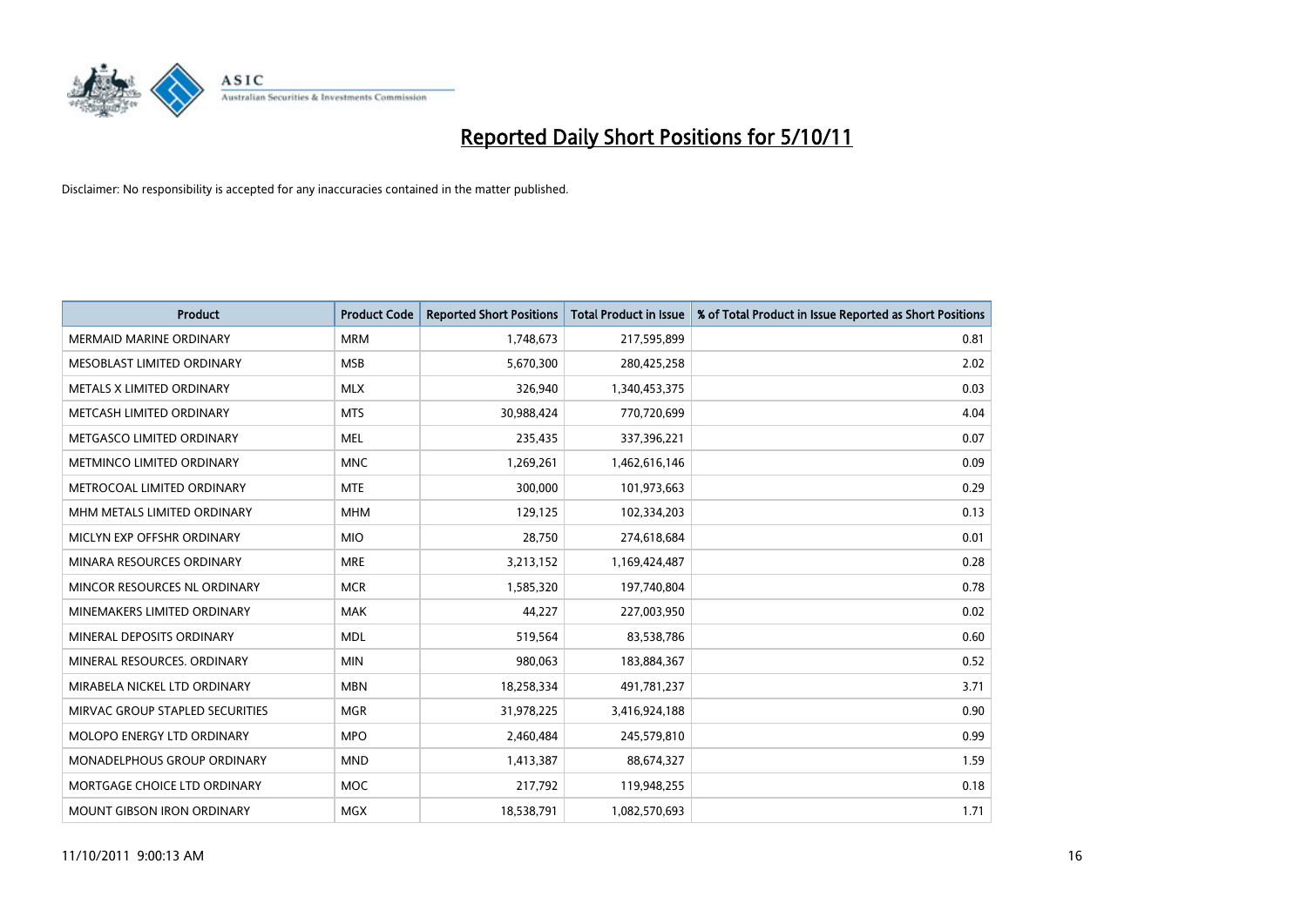

| <b>Product</b>                    | <b>Product Code</b> | <b>Reported Short Positions</b> | <b>Total Product in Issue</b> | % of Total Product in Issue Reported as Short Positions |
|-----------------------------------|---------------------|---------------------------------|-------------------------------|---------------------------------------------------------|
| MERMAID MARINE ORDINARY           | <b>MRM</b>          | 1,748,673                       | 217,595,899                   | 0.81                                                    |
| MESOBLAST LIMITED ORDINARY        | <b>MSB</b>          | 5,670,300                       | 280,425,258                   | 2.02                                                    |
| METALS X LIMITED ORDINARY         | <b>MLX</b>          | 326,940                         | 1,340,453,375                 | 0.03                                                    |
| METCASH LIMITED ORDINARY          | <b>MTS</b>          | 30,988,424                      | 770,720,699                   | 4.04                                                    |
| METGASCO LIMITED ORDINARY         | <b>MEL</b>          | 235,435                         | 337,396,221                   | 0.07                                                    |
| METMINCO LIMITED ORDINARY         | <b>MNC</b>          | 1,269,261                       | 1,462,616,146                 | 0.09                                                    |
| METROCOAL LIMITED ORDINARY        | <b>MTE</b>          | 300.000                         | 101,973,663                   | 0.29                                                    |
| MHM METALS LIMITED ORDINARY       | <b>MHM</b>          | 129,125                         | 102,334,203                   | 0.13                                                    |
| MICLYN EXP OFFSHR ORDINARY        | <b>MIO</b>          | 28,750                          | 274,618,684                   | 0.01                                                    |
| MINARA RESOURCES ORDINARY         | <b>MRE</b>          | 3,213,152                       | 1,169,424,487                 | 0.28                                                    |
| MINCOR RESOURCES NL ORDINARY      | <b>MCR</b>          | 1,585,320                       | 197,740,804                   | 0.78                                                    |
| MINEMAKERS LIMITED ORDINARY       | <b>MAK</b>          | 44,227                          | 227,003,950                   | 0.02                                                    |
| MINERAL DEPOSITS ORDINARY         | <b>MDL</b>          | 519,564                         | 83,538,786                    | 0.60                                                    |
| MINERAL RESOURCES, ORDINARY       | <b>MIN</b>          | 980,063                         | 183,884,367                   | 0.52                                                    |
| MIRABELA NICKEL LTD ORDINARY      | <b>MBN</b>          | 18,258,334                      | 491,781,237                   | 3.71                                                    |
| MIRVAC GROUP STAPLED SECURITIES   | <b>MGR</b>          | 31,978,225                      | 3,416,924,188                 | 0.90                                                    |
| <b>MOLOPO ENERGY LTD ORDINARY</b> | <b>MPO</b>          | 2,460,484                       | 245,579,810                   | 0.99                                                    |
| MONADELPHOUS GROUP ORDINARY       | <b>MND</b>          | 1,413,387                       | 88,674,327                    | 1.59                                                    |
| MORTGAGE CHOICE LTD ORDINARY      | <b>MOC</b>          | 217,792                         | 119,948,255                   | 0.18                                                    |
| <b>MOUNT GIBSON IRON ORDINARY</b> | <b>MGX</b>          | 18,538,791                      | 1,082,570,693                 | 1.71                                                    |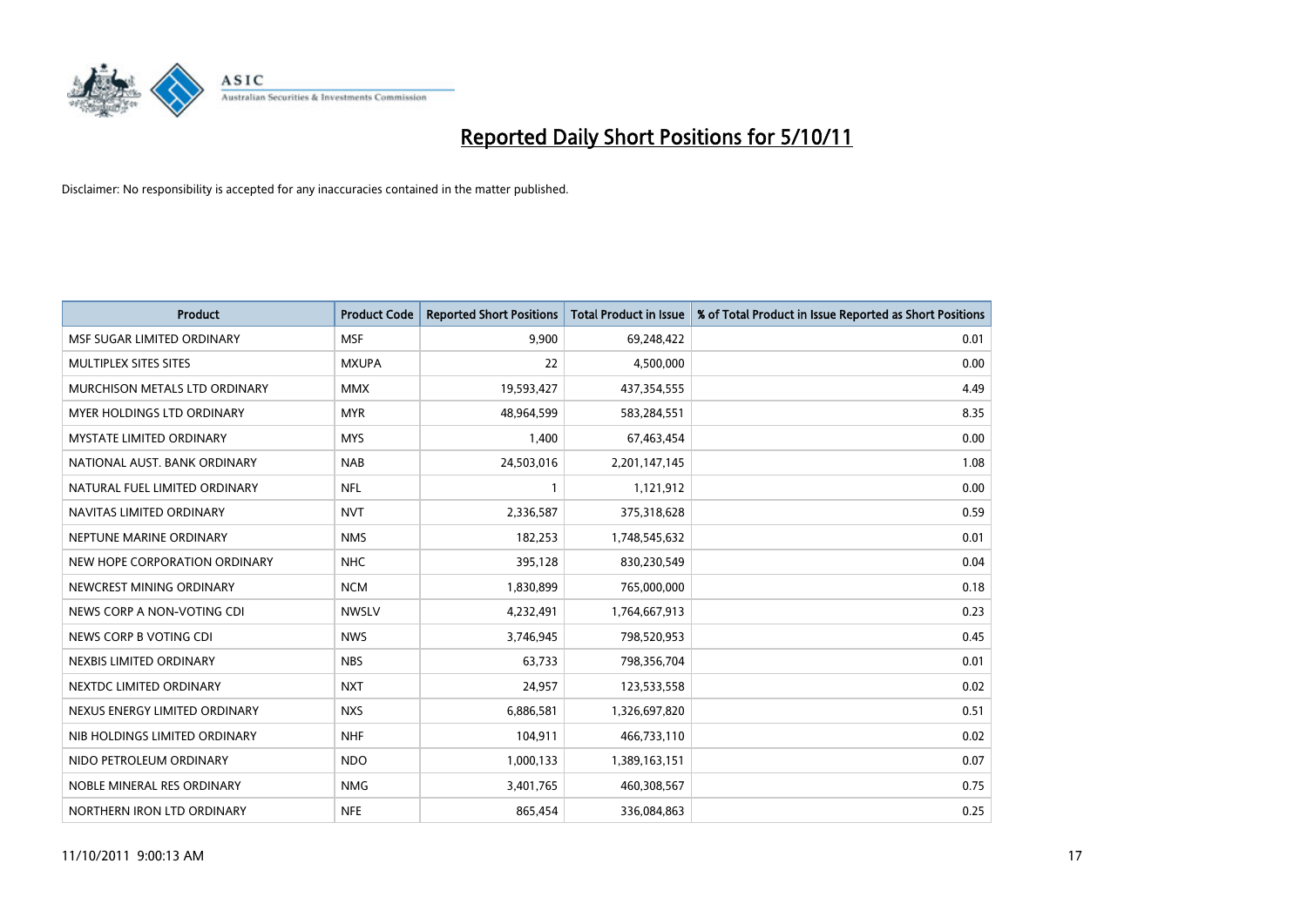

| <b>Product</b>                  | <b>Product Code</b> | <b>Reported Short Positions</b> | <b>Total Product in Issue</b> | % of Total Product in Issue Reported as Short Positions |
|---------------------------------|---------------------|---------------------------------|-------------------------------|---------------------------------------------------------|
| MSF SUGAR LIMITED ORDINARY      | <b>MSF</b>          | 9,900                           | 69,248,422                    | 0.01                                                    |
| MULTIPLEX SITES SITES           | <b>MXUPA</b>        | 22                              | 4,500,000                     | 0.00                                                    |
| MURCHISON METALS LTD ORDINARY   | <b>MMX</b>          | 19,593,427                      | 437,354,555                   | 4.49                                                    |
| MYER HOLDINGS LTD ORDINARY      | <b>MYR</b>          | 48,964,599                      | 583,284,551                   | 8.35                                                    |
| <b>MYSTATE LIMITED ORDINARY</b> | <b>MYS</b>          | 1,400                           | 67,463,454                    | 0.00                                                    |
| NATIONAL AUST. BANK ORDINARY    | <b>NAB</b>          | 24,503,016                      | 2,201,147,145                 | 1.08                                                    |
| NATURAL FUEL LIMITED ORDINARY   | <b>NFL</b>          |                                 | 1,121,912                     | 0.00                                                    |
| NAVITAS LIMITED ORDINARY        | <b>NVT</b>          | 2,336,587                       | 375,318,628                   | 0.59                                                    |
| NEPTUNE MARINE ORDINARY         | <b>NMS</b>          | 182,253                         | 1,748,545,632                 | 0.01                                                    |
| NEW HOPE CORPORATION ORDINARY   | <b>NHC</b>          | 395,128                         | 830,230,549                   | 0.04                                                    |
| NEWCREST MINING ORDINARY        | <b>NCM</b>          | 1,830,899                       | 765,000,000                   | 0.18                                                    |
| NEWS CORP A NON-VOTING CDI      | <b>NWSLV</b>        | 4,232,491                       | 1,764,667,913                 | 0.23                                                    |
| NEWS CORP B VOTING CDI          | <b>NWS</b>          | 3,746,945                       | 798,520,953                   | 0.45                                                    |
| NEXBIS LIMITED ORDINARY         | <b>NBS</b>          | 63,733                          | 798,356,704                   | 0.01                                                    |
| NEXTDC LIMITED ORDINARY         | <b>NXT</b>          | 24,957                          | 123,533,558                   | 0.02                                                    |
| NEXUS ENERGY LIMITED ORDINARY   | <b>NXS</b>          | 6,886,581                       | 1,326,697,820                 | 0.51                                                    |
| NIB HOLDINGS LIMITED ORDINARY   | <b>NHF</b>          | 104,911                         | 466,733,110                   | 0.02                                                    |
| NIDO PETROLEUM ORDINARY         | <b>NDO</b>          | 1,000,133                       | 1,389,163,151                 | 0.07                                                    |
| NOBLE MINERAL RES ORDINARY      | <b>NMG</b>          | 3,401,765                       | 460,308,567                   | 0.75                                                    |
| NORTHERN IRON LTD ORDINARY      | <b>NFE</b>          | 865.454                         | 336,084,863                   | 0.25                                                    |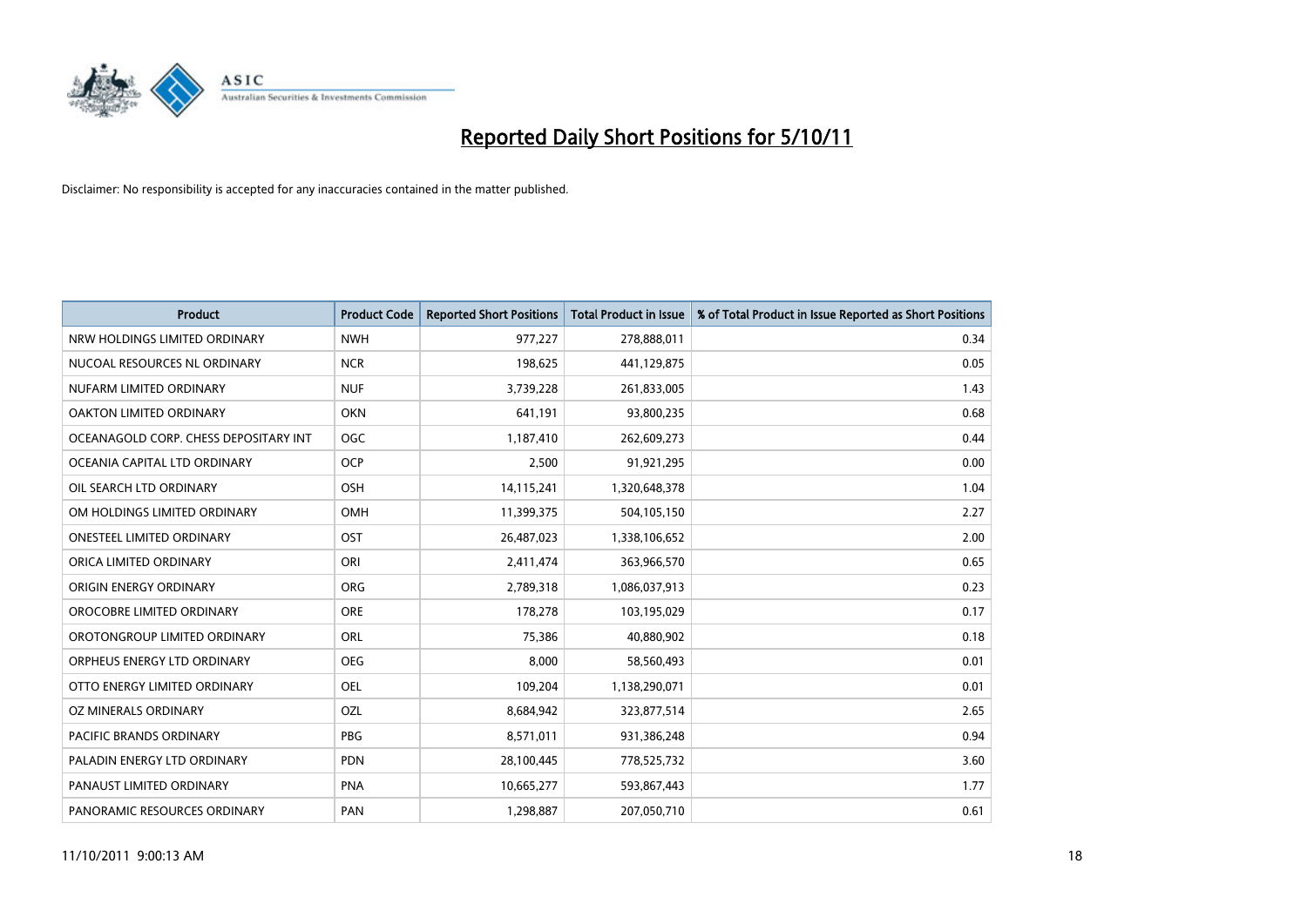

| <b>Product</b>                        | <b>Product Code</b> | <b>Reported Short Positions</b> | <b>Total Product in Issue</b> | % of Total Product in Issue Reported as Short Positions |
|---------------------------------------|---------------------|---------------------------------|-------------------------------|---------------------------------------------------------|
| NRW HOLDINGS LIMITED ORDINARY         | <b>NWH</b>          | 977,227                         | 278,888,011                   | 0.34                                                    |
| NUCOAL RESOURCES NL ORDINARY          | <b>NCR</b>          | 198,625                         | 441,129,875                   | 0.05                                                    |
| NUFARM LIMITED ORDINARY               | <b>NUF</b>          | 3,739,228                       | 261,833,005                   | 1.43                                                    |
| OAKTON LIMITED ORDINARY               | <b>OKN</b>          | 641,191                         | 93,800,235                    | 0.68                                                    |
| OCEANAGOLD CORP. CHESS DEPOSITARY INT | <b>OGC</b>          | 1,187,410                       | 262,609,273                   | 0.44                                                    |
| OCEANIA CAPITAL LTD ORDINARY          | <b>OCP</b>          | 2,500                           | 91,921,295                    | 0.00                                                    |
| OIL SEARCH LTD ORDINARY               | <b>OSH</b>          | 14,115,241                      | 1,320,648,378                 | 1.04                                                    |
| OM HOLDINGS LIMITED ORDINARY          | <b>OMH</b>          | 11,399,375                      | 504,105,150                   | 2.27                                                    |
| <b>ONESTEEL LIMITED ORDINARY</b>      | OST                 | 26,487,023                      | 1,338,106,652                 | 2.00                                                    |
| ORICA LIMITED ORDINARY                | ORI                 | 2,411,474                       | 363,966,570                   | 0.65                                                    |
| ORIGIN ENERGY ORDINARY                | <b>ORG</b>          | 2,789,318                       | 1,086,037,913                 | 0.23                                                    |
| OROCOBRE LIMITED ORDINARY             | <b>ORE</b>          | 178,278                         | 103,195,029                   | 0.17                                                    |
| OROTONGROUP LIMITED ORDINARY          | ORL                 | 75,386                          | 40,880,902                    | 0.18                                                    |
| ORPHEUS ENERGY LTD ORDINARY           | <b>OEG</b>          | 8,000                           | 58,560,493                    | 0.01                                                    |
| OTTO ENERGY LIMITED ORDINARY          | OEL                 | 109,204                         | 1,138,290,071                 | 0.01                                                    |
| OZ MINERALS ORDINARY                  | OZL                 | 8,684,942                       | 323,877,514                   | 2.65                                                    |
| PACIFIC BRANDS ORDINARY               | <b>PBG</b>          | 8,571,011                       | 931,386,248                   | 0.94                                                    |
| PALADIN ENERGY LTD ORDINARY           | <b>PDN</b>          | 28,100,445                      | 778,525,732                   | 3.60                                                    |
| PANAUST LIMITED ORDINARY              | <b>PNA</b>          | 10,665,277                      | 593,867,443                   | 1.77                                                    |
| PANORAMIC RESOURCES ORDINARY          | PAN                 | 1,298,887                       | 207,050,710                   | 0.61                                                    |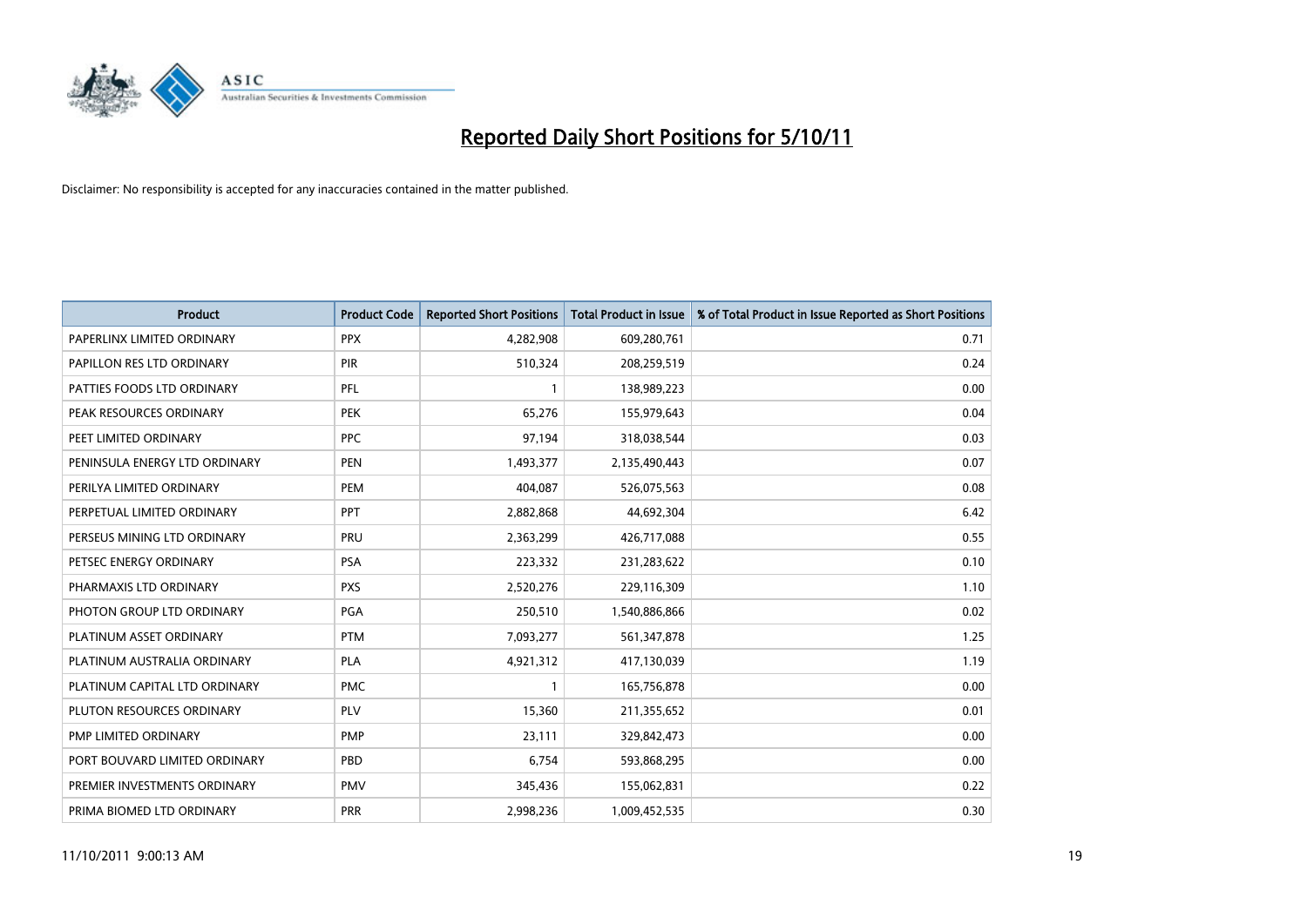

| <b>Product</b>                | <b>Product Code</b> | <b>Reported Short Positions</b> | <b>Total Product in Issue</b> | % of Total Product in Issue Reported as Short Positions |
|-------------------------------|---------------------|---------------------------------|-------------------------------|---------------------------------------------------------|
| PAPERLINX LIMITED ORDINARY    | <b>PPX</b>          | 4,282,908                       | 609,280,761                   | 0.71                                                    |
| PAPILLON RES LTD ORDINARY     | PIR                 | 510,324                         | 208,259,519                   | 0.24                                                    |
| PATTIES FOODS LTD ORDINARY    | PFL                 |                                 | 138,989,223                   | 0.00                                                    |
| PEAK RESOURCES ORDINARY       | <b>PEK</b>          | 65,276                          | 155,979,643                   | 0.04                                                    |
| PEET LIMITED ORDINARY         | <b>PPC</b>          | 97,194                          | 318,038,544                   | 0.03                                                    |
| PENINSULA ENERGY LTD ORDINARY | PEN                 | 1,493,377                       | 2,135,490,443                 | 0.07                                                    |
| PERILYA LIMITED ORDINARY      | PEM                 | 404,087                         | 526,075,563                   | 0.08                                                    |
| PERPETUAL LIMITED ORDINARY    | PPT                 | 2,882,868                       | 44,692,304                    | 6.42                                                    |
| PERSEUS MINING LTD ORDINARY   | PRU                 | 2,363,299                       | 426,717,088                   | 0.55                                                    |
| PETSEC ENERGY ORDINARY        | <b>PSA</b>          | 223,332                         | 231,283,622                   | 0.10                                                    |
| PHARMAXIS LTD ORDINARY        | <b>PXS</b>          | 2,520,276                       | 229,116,309                   | 1.10                                                    |
| PHOTON GROUP LTD ORDINARY     | <b>PGA</b>          | 250,510                         | 1,540,886,866                 | 0.02                                                    |
| PLATINUM ASSET ORDINARY       | <b>PTM</b>          | 7,093,277                       | 561,347,878                   | 1.25                                                    |
| PLATINUM AUSTRALIA ORDINARY   | <b>PLA</b>          | 4,921,312                       | 417,130,039                   | 1.19                                                    |
| PLATINUM CAPITAL LTD ORDINARY | <b>PMC</b>          |                                 | 165,756,878                   | 0.00                                                    |
| PLUTON RESOURCES ORDINARY     | <b>PLV</b>          | 15,360                          | 211,355,652                   | 0.01                                                    |
| PMP LIMITED ORDINARY          | <b>PMP</b>          | 23,111                          | 329,842,473                   | 0.00                                                    |
| PORT BOUVARD LIMITED ORDINARY | PBD                 | 6,754                           | 593,868,295                   | 0.00                                                    |
| PREMIER INVESTMENTS ORDINARY  | <b>PMV</b>          | 345,436                         | 155,062,831                   | 0.22                                                    |
| PRIMA BIOMED LTD ORDINARY     | <b>PRR</b>          | 2,998,236                       | 1,009,452,535                 | 0.30                                                    |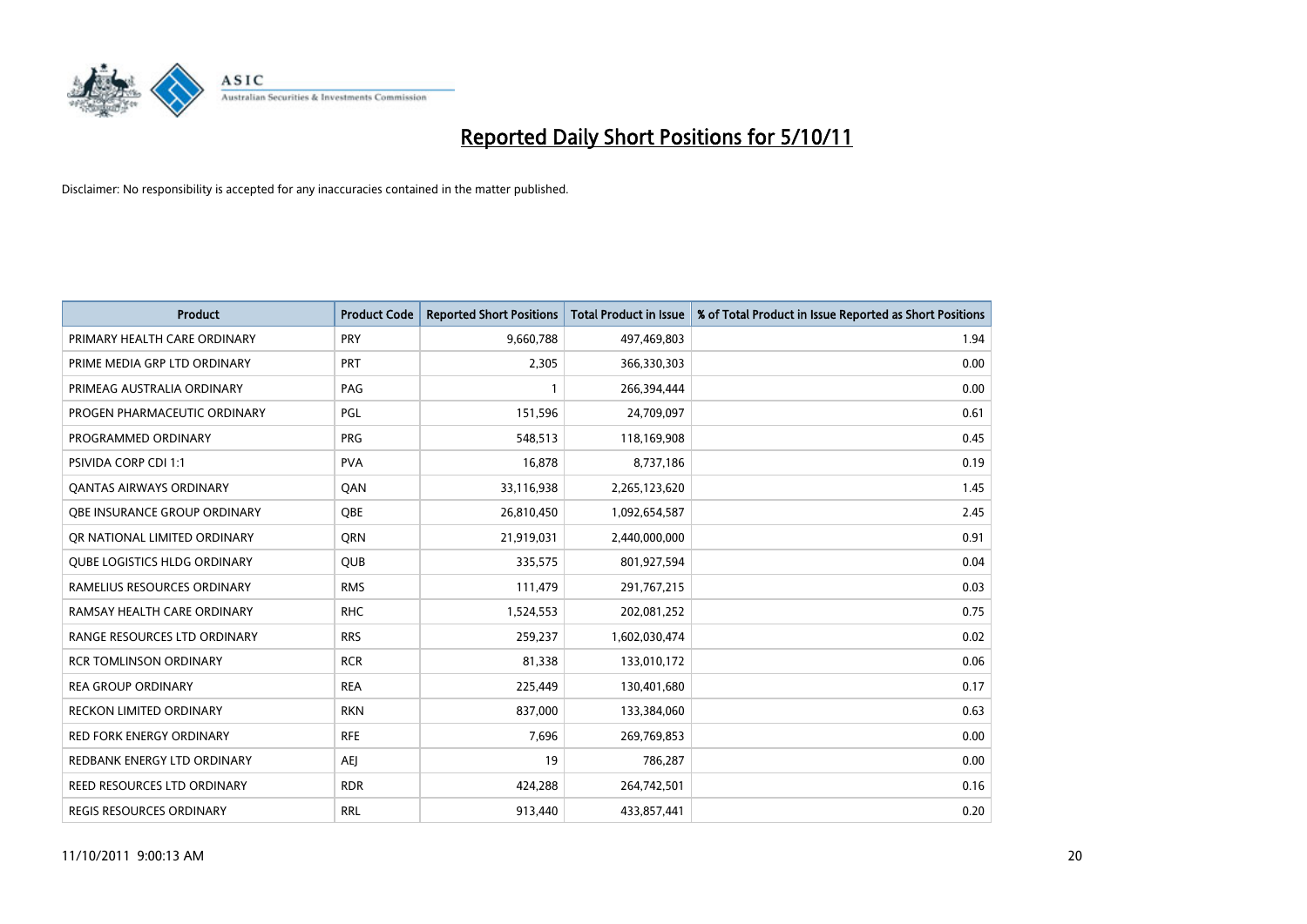

| <b>Product</b>                      | <b>Product Code</b> | <b>Reported Short Positions</b> | <b>Total Product in Issue</b> | % of Total Product in Issue Reported as Short Positions |
|-------------------------------------|---------------------|---------------------------------|-------------------------------|---------------------------------------------------------|
| PRIMARY HEALTH CARE ORDINARY        | <b>PRY</b>          | 9,660,788                       | 497,469,803                   | 1.94                                                    |
| PRIME MEDIA GRP LTD ORDINARY        | PRT                 | 2,305                           | 366,330,303                   | 0.00                                                    |
| PRIMEAG AUSTRALIA ORDINARY          | PAG                 |                                 | 266,394,444                   | 0.00                                                    |
| PROGEN PHARMACEUTIC ORDINARY        | PGL                 | 151,596                         | 24,709,097                    | 0.61                                                    |
| PROGRAMMED ORDINARY                 | <b>PRG</b>          | 548,513                         | 118,169,908                   | 0.45                                                    |
| <b>PSIVIDA CORP CDI 1:1</b>         | <b>PVA</b>          | 16,878                          | 8,737,186                     | 0.19                                                    |
| <b>QANTAS AIRWAYS ORDINARY</b>      | QAN                 | 33,116,938                      | 2,265,123,620                 | 1.45                                                    |
| OBE INSURANCE GROUP ORDINARY        | <b>OBE</b>          | 26,810,450                      | 1,092,654,587                 | 2.45                                                    |
| OR NATIONAL LIMITED ORDINARY        | <b>ORN</b>          | 21,919,031                      | 2,440,000,000                 | 0.91                                                    |
| <b>QUBE LOGISTICS HLDG ORDINARY</b> | <b>QUB</b>          | 335,575                         | 801,927,594                   | 0.04                                                    |
| RAMELIUS RESOURCES ORDINARY         | <b>RMS</b>          | 111,479                         | 291,767,215                   | 0.03                                                    |
| RAMSAY HEALTH CARE ORDINARY         | <b>RHC</b>          | 1,524,553                       | 202,081,252                   | 0.75                                                    |
| RANGE RESOURCES LTD ORDINARY        | <b>RRS</b>          | 259,237                         | 1,602,030,474                 | 0.02                                                    |
| <b>RCR TOMLINSON ORDINARY</b>       | <b>RCR</b>          | 81,338                          | 133,010,172                   | 0.06                                                    |
| <b>REA GROUP ORDINARY</b>           | <b>REA</b>          | 225,449                         | 130,401,680                   | 0.17                                                    |
| RECKON LIMITED ORDINARY             | <b>RKN</b>          | 837,000                         | 133,384,060                   | 0.63                                                    |
| RED FORK ENERGY ORDINARY            | <b>RFE</b>          | 7,696                           | 269,769,853                   | 0.00                                                    |
| REDBANK ENERGY LTD ORDINARY         | AEJ                 | 19                              | 786,287                       | 0.00                                                    |
| REED RESOURCES LTD ORDINARY         | <b>RDR</b>          | 424,288                         | 264,742,501                   | 0.16                                                    |
| REGIS RESOURCES ORDINARY            | <b>RRL</b>          | 913,440                         | 433,857,441                   | 0.20                                                    |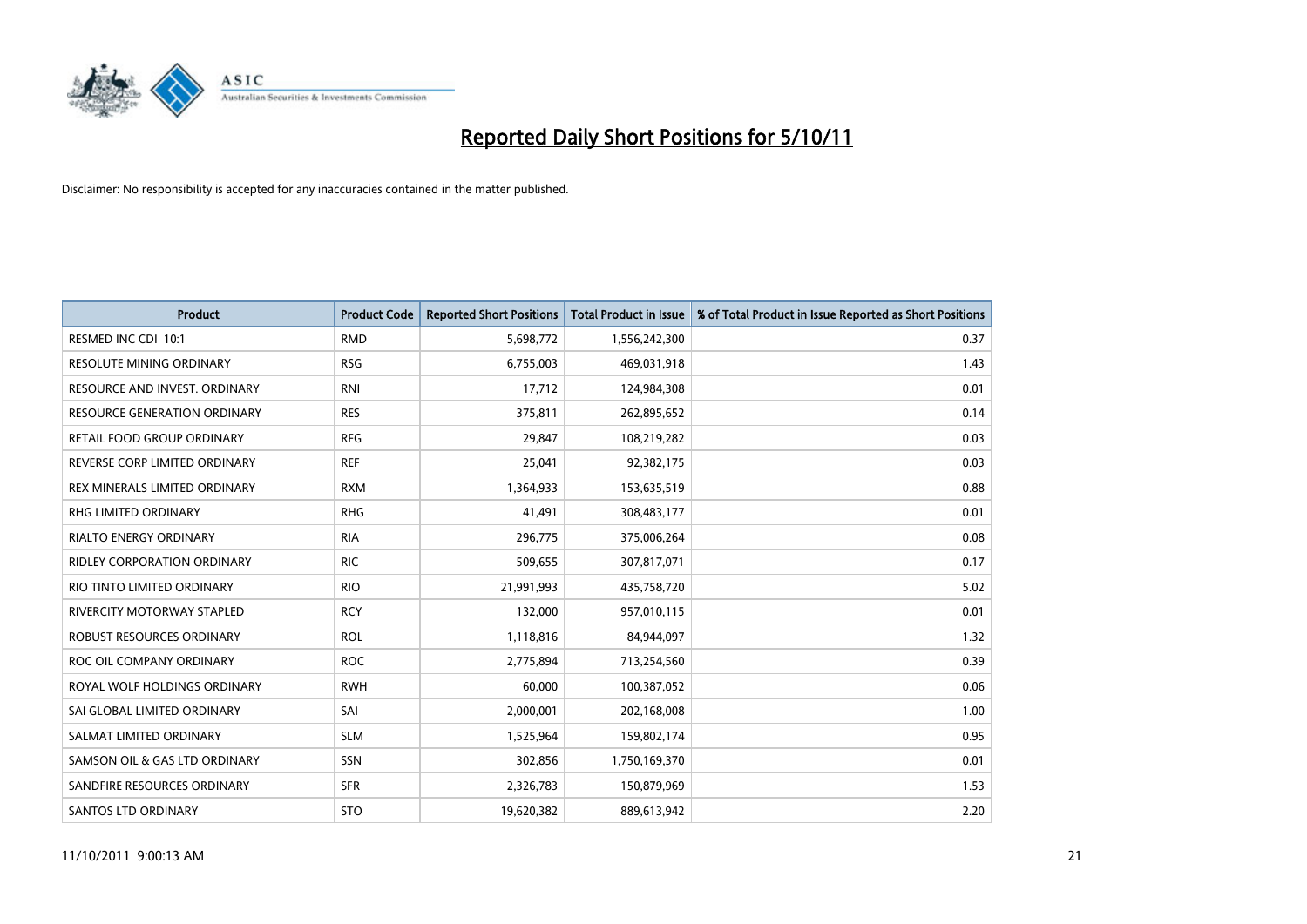

| <b>Product</b>                     | <b>Product Code</b> | <b>Reported Short Positions</b> | <b>Total Product in Issue</b> | % of Total Product in Issue Reported as Short Positions |
|------------------------------------|---------------------|---------------------------------|-------------------------------|---------------------------------------------------------|
| RESMED INC CDI 10:1                | <b>RMD</b>          | 5,698,772                       | 1,556,242,300                 | 0.37                                                    |
| RESOLUTE MINING ORDINARY           | <b>RSG</b>          | 6,755,003                       | 469,031,918                   | 1.43                                                    |
| RESOURCE AND INVEST. ORDINARY      | <b>RNI</b>          | 17,712                          | 124,984,308                   | 0.01                                                    |
| RESOURCE GENERATION ORDINARY       | <b>RES</b>          | 375,811                         | 262,895,652                   | 0.14                                                    |
| RETAIL FOOD GROUP ORDINARY         | <b>RFG</b>          | 29,847                          | 108,219,282                   | 0.03                                                    |
| REVERSE CORP LIMITED ORDINARY      | <b>REF</b>          | 25,041                          | 92,382,175                    | 0.03                                                    |
| REX MINERALS LIMITED ORDINARY      | <b>RXM</b>          | 1,364,933                       | 153,635,519                   | 0.88                                                    |
| RHG LIMITED ORDINARY               | <b>RHG</b>          | 41,491                          | 308,483,177                   | 0.01                                                    |
| <b>RIALTO ENERGY ORDINARY</b>      | <b>RIA</b>          | 296,775                         | 375,006,264                   | 0.08                                                    |
| <b>RIDLEY CORPORATION ORDINARY</b> | <b>RIC</b>          | 509,655                         | 307,817,071                   | 0.17                                                    |
| RIO TINTO LIMITED ORDINARY         | <b>RIO</b>          | 21,991,993                      | 435,758,720                   | 5.02                                                    |
| RIVERCITY MOTORWAY STAPLED         | <b>RCY</b>          | 132,000                         | 957,010,115                   | 0.01                                                    |
| ROBUST RESOURCES ORDINARY          | <b>ROL</b>          | 1,118,816                       | 84,944,097                    | 1.32                                                    |
| ROC OIL COMPANY ORDINARY           | <b>ROC</b>          | 2,775,894                       | 713,254,560                   | 0.39                                                    |
| ROYAL WOLF HOLDINGS ORDINARY       | <b>RWH</b>          | 60,000                          | 100,387,052                   | 0.06                                                    |
| SAI GLOBAL LIMITED ORDINARY        | SAI                 | 2,000,001                       | 202,168,008                   | 1.00                                                    |
| SALMAT LIMITED ORDINARY            | <b>SLM</b>          | 1,525,964                       | 159,802,174                   | 0.95                                                    |
| SAMSON OIL & GAS LTD ORDINARY      | <b>SSN</b>          | 302,856                         | 1,750,169,370                 | 0.01                                                    |
| SANDFIRE RESOURCES ORDINARY        | <b>SFR</b>          | 2,326,783                       | 150,879,969                   | 1.53                                                    |
| <b>SANTOS LTD ORDINARY</b>         | <b>STO</b>          | 19,620,382                      | 889,613,942                   | 2.20                                                    |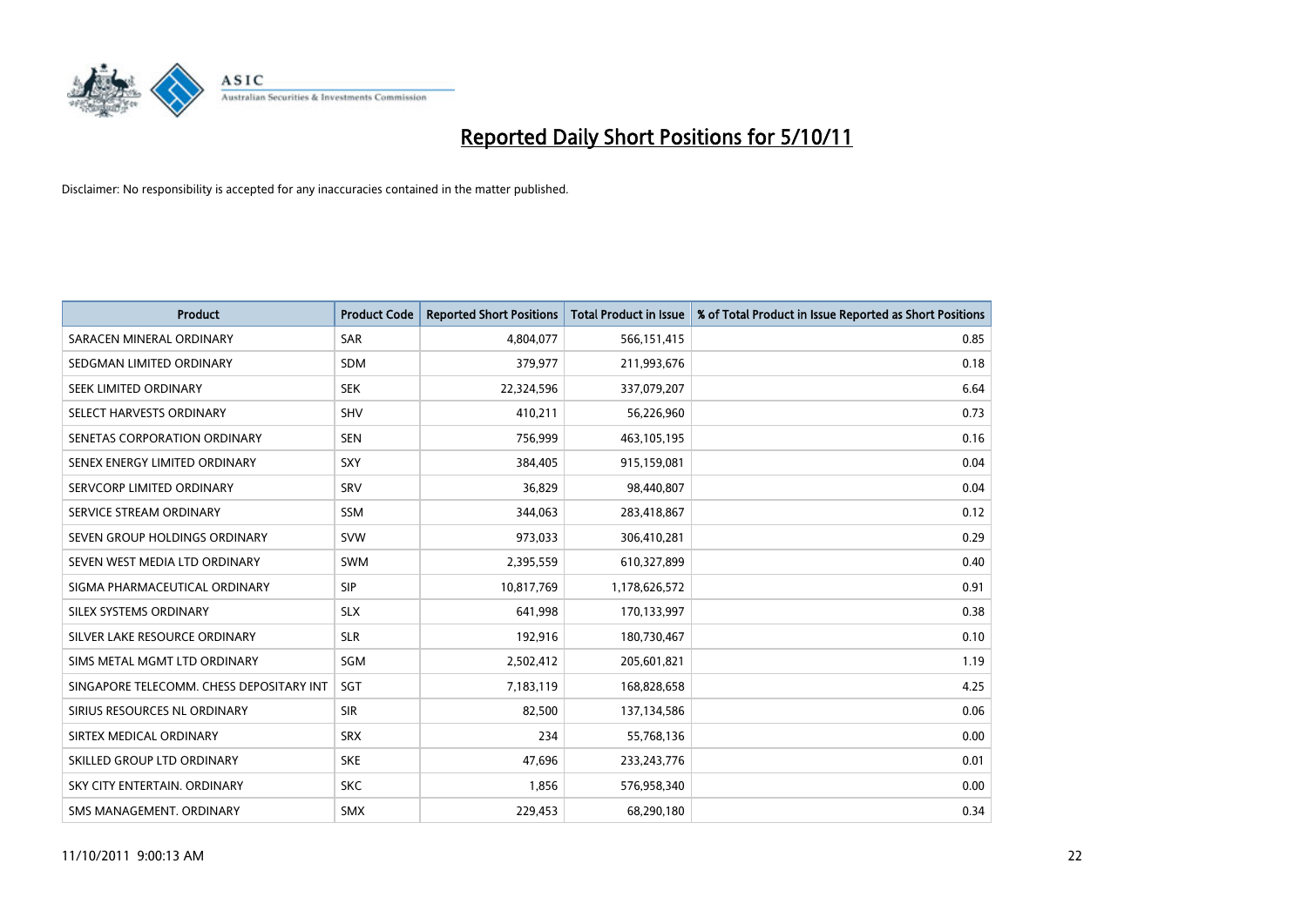

| <b>Product</b>                           | <b>Product Code</b> | <b>Reported Short Positions</b> | <b>Total Product in Issue</b> | % of Total Product in Issue Reported as Short Positions |
|------------------------------------------|---------------------|---------------------------------|-------------------------------|---------------------------------------------------------|
| SARACEN MINERAL ORDINARY                 | <b>SAR</b>          | 4,804,077                       | 566,151,415                   | 0.85                                                    |
| SEDGMAN LIMITED ORDINARY                 | <b>SDM</b>          | 379,977                         | 211,993,676                   | 0.18                                                    |
| SEEK LIMITED ORDINARY                    | <b>SEK</b>          | 22,324,596                      | 337,079,207                   | 6.64                                                    |
| SELECT HARVESTS ORDINARY                 | <b>SHV</b>          | 410,211                         | 56,226,960                    | 0.73                                                    |
| SENETAS CORPORATION ORDINARY             | <b>SEN</b>          | 756,999                         | 463,105,195                   | 0.16                                                    |
| SENEX ENERGY LIMITED ORDINARY            | SXY                 | 384,405                         | 915,159,081                   | 0.04                                                    |
| SERVCORP LIMITED ORDINARY                | SRV                 | 36,829                          | 98,440,807                    | 0.04                                                    |
| SERVICE STREAM ORDINARY                  | <b>SSM</b>          | 344,063                         | 283,418,867                   | 0.12                                                    |
| SEVEN GROUP HOLDINGS ORDINARY            | <b>SVW</b>          | 973,033                         | 306,410,281                   | 0.29                                                    |
| SEVEN WEST MEDIA LTD ORDINARY            | <b>SWM</b>          | 2,395,559                       | 610,327,899                   | 0.40                                                    |
| SIGMA PHARMACEUTICAL ORDINARY            | <b>SIP</b>          | 10,817,769                      | 1,178,626,572                 | 0.91                                                    |
| SILEX SYSTEMS ORDINARY                   | <b>SLX</b>          | 641,998                         | 170,133,997                   | 0.38                                                    |
| SILVER LAKE RESOURCE ORDINARY            | <b>SLR</b>          | 192,916                         | 180,730,467                   | 0.10                                                    |
| SIMS METAL MGMT LTD ORDINARY             | SGM                 | 2,502,412                       | 205,601,821                   | 1.19                                                    |
| SINGAPORE TELECOMM. CHESS DEPOSITARY INT | SGT                 | 7,183,119                       | 168,828,658                   | 4.25                                                    |
| SIRIUS RESOURCES NL ORDINARY             | <b>SIR</b>          | 82,500                          | 137,134,586                   | 0.06                                                    |
| SIRTEX MEDICAL ORDINARY                  | <b>SRX</b>          | 234                             | 55,768,136                    | 0.00                                                    |
| SKILLED GROUP LTD ORDINARY               | <b>SKE</b>          | 47,696                          | 233, 243, 776                 | 0.01                                                    |
| SKY CITY ENTERTAIN, ORDINARY             | <b>SKC</b>          | 1,856                           | 576,958,340                   | 0.00                                                    |
| SMS MANAGEMENT, ORDINARY                 | <b>SMX</b>          | 229.453                         | 68,290,180                    | 0.34                                                    |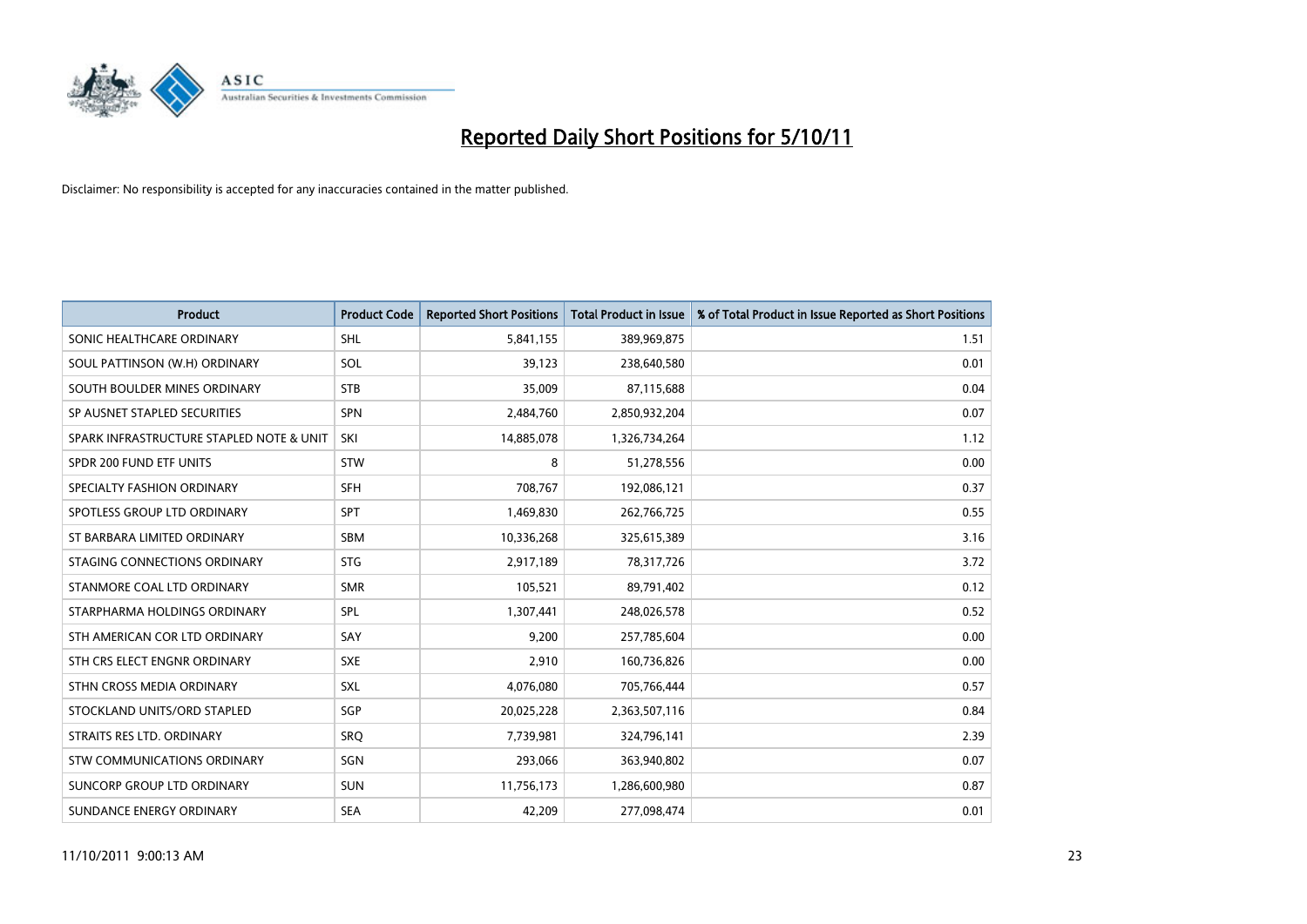

| <b>Product</b>                           | <b>Product Code</b> | <b>Reported Short Positions</b> | <b>Total Product in Issue</b> | % of Total Product in Issue Reported as Short Positions |
|------------------------------------------|---------------------|---------------------------------|-------------------------------|---------------------------------------------------------|
| SONIC HEALTHCARE ORDINARY                | <b>SHL</b>          | 5,841,155                       | 389,969,875                   | 1.51                                                    |
| SOUL PATTINSON (W.H) ORDINARY            | SOL                 | 39,123                          | 238,640,580                   | 0.01                                                    |
| SOUTH BOULDER MINES ORDINARY             | <b>STB</b>          | 35,009                          | 87,115,688                    | 0.04                                                    |
| SP AUSNET STAPLED SECURITIES             | <b>SPN</b>          | 2,484,760                       | 2,850,932,204                 | 0.07                                                    |
| SPARK INFRASTRUCTURE STAPLED NOTE & UNIT | SKI                 | 14,885,078                      | 1,326,734,264                 | 1.12                                                    |
| SPDR 200 FUND ETF UNITS                  | <b>STW</b>          | 8                               | 51,278,556                    | 0.00                                                    |
| SPECIALTY FASHION ORDINARY               | <b>SFH</b>          | 708,767                         | 192,086,121                   | 0.37                                                    |
| SPOTLESS GROUP LTD ORDINARY              | <b>SPT</b>          | 1,469,830                       | 262,766,725                   | 0.55                                                    |
| ST BARBARA LIMITED ORDINARY              | <b>SBM</b>          | 10,336,268                      | 325,615,389                   | 3.16                                                    |
| STAGING CONNECTIONS ORDINARY             | <b>STG</b>          | 2,917,189                       | 78,317,726                    | 3.72                                                    |
| STANMORE COAL LTD ORDINARY               | <b>SMR</b>          | 105,521                         | 89,791,402                    | 0.12                                                    |
| STARPHARMA HOLDINGS ORDINARY             | <b>SPL</b>          | 1,307,441                       | 248,026,578                   | 0.52                                                    |
| STH AMERICAN COR LTD ORDINARY            | SAY                 | 9,200                           | 257,785,604                   | 0.00                                                    |
| STH CRS ELECT ENGNR ORDINARY             | <b>SXE</b>          | 2,910                           | 160,736,826                   | 0.00                                                    |
| STHN CROSS MEDIA ORDINARY                | <b>SXL</b>          | 4,076,080                       | 705,766,444                   | 0.57                                                    |
| STOCKLAND UNITS/ORD STAPLED              | SGP                 | 20,025,228                      | 2,363,507,116                 | 0.84                                                    |
| STRAITS RES LTD. ORDINARY                | SRO                 | 7,739,981                       | 324,796,141                   | 2.39                                                    |
| STW COMMUNICATIONS ORDINARY              | SGN                 | 293,066                         | 363,940,802                   | 0.07                                                    |
| SUNCORP GROUP LTD ORDINARY               | <b>SUN</b>          | 11,756,173                      | 1,286,600,980                 | 0.87                                                    |
| SUNDANCE ENERGY ORDINARY                 | <b>SEA</b>          | 42,209                          | 277,098,474                   | 0.01                                                    |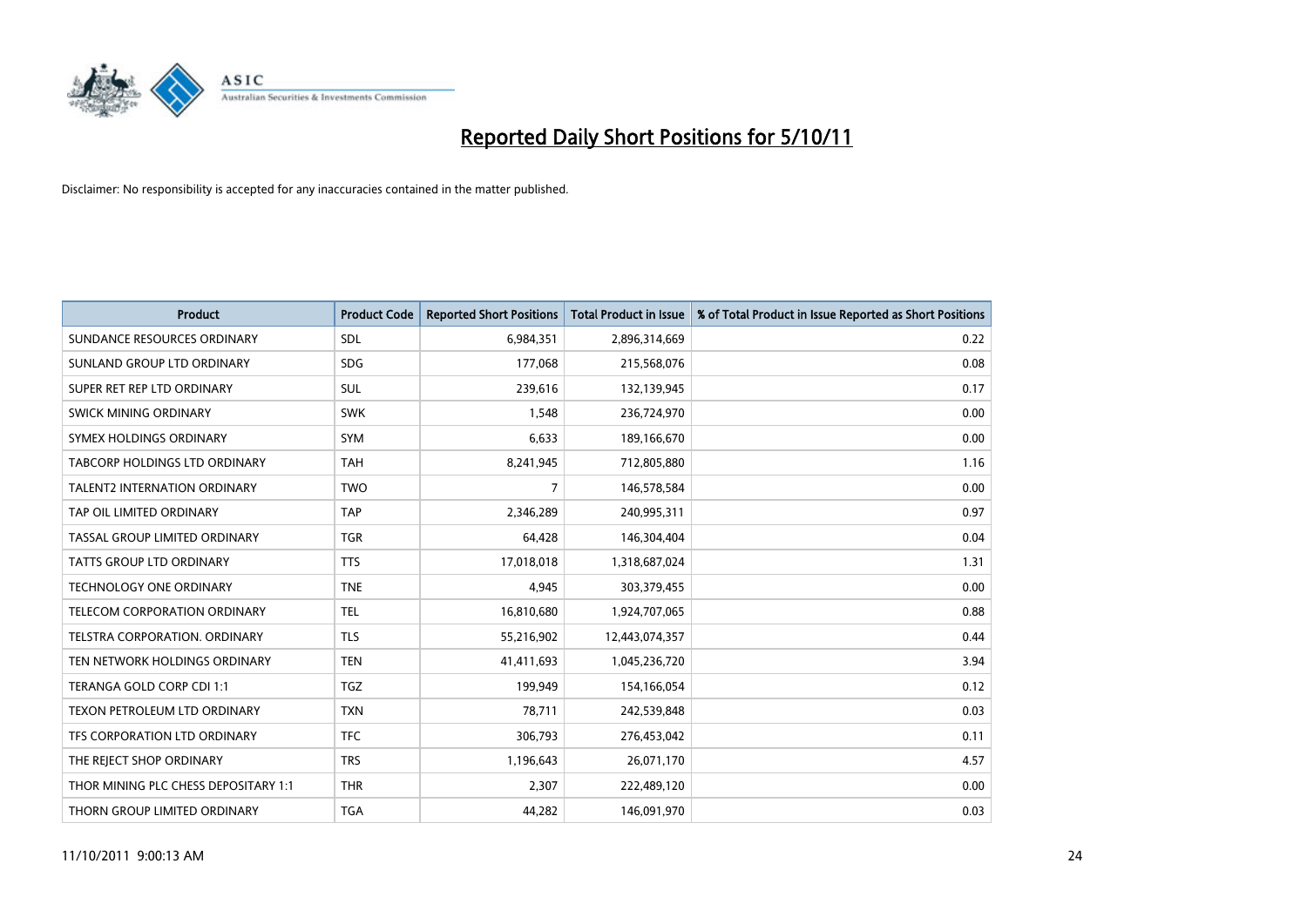

| <b>Product</b>                       | <b>Product Code</b> | <b>Reported Short Positions</b> | <b>Total Product in Issue</b> | % of Total Product in Issue Reported as Short Positions |
|--------------------------------------|---------------------|---------------------------------|-------------------------------|---------------------------------------------------------|
| SUNDANCE RESOURCES ORDINARY          | <b>SDL</b>          | 6,984,351                       | 2,896,314,669                 | 0.22                                                    |
| SUNLAND GROUP LTD ORDINARY           | <b>SDG</b>          | 177,068                         | 215,568,076                   | 0.08                                                    |
| SUPER RET REP LTD ORDINARY           | <b>SUL</b>          | 239,616                         | 132,139,945                   | 0.17                                                    |
| SWICK MINING ORDINARY                | <b>SWK</b>          | 1,548                           | 236,724,970                   | 0.00                                                    |
| SYMEX HOLDINGS ORDINARY              | <b>SYM</b>          | 6.633                           | 189,166,670                   | 0.00                                                    |
| <b>TABCORP HOLDINGS LTD ORDINARY</b> | <b>TAH</b>          | 8,241,945                       | 712,805,880                   | 1.16                                                    |
| <b>TALENT2 INTERNATION ORDINARY</b>  | <b>TWO</b>          | 7                               | 146,578,584                   | 0.00                                                    |
| TAP OIL LIMITED ORDINARY             | <b>TAP</b>          | 2,346,289                       | 240,995,311                   | 0.97                                                    |
| TASSAL GROUP LIMITED ORDINARY        | <b>TGR</b>          | 64,428                          | 146,304,404                   | 0.04                                                    |
| <b>TATTS GROUP LTD ORDINARY</b>      | <b>TTS</b>          | 17,018,018                      | 1,318,687,024                 | 1.31                                                    |
| <b>TECHNOLOGY ONE ORDINARY</b>       | <b>TNE</b>          | 4,945                           | 303,379,455                   | 0.00                                                    |
| <b>TELECOM CORPORATION ORDINARY</b>  | <b>TEL</b>          | 16,810,680                      | 1,924,707,065                 | 0.88                                                    |
| <b>TELSTRA CORPORATION, ORDINARY</b> | <b>TLS</b>          | 55,216,902                      | 12,443,074,357                | 0.44                                                    |
| TEN NETWORK HOLDINGS ORDINARY        | <b>TEN</b>          | 41,411,693                      | 1,045,236,720                 | 3.94                                                    |
| TERANGA GOLD CORP CDI 1:1            | <b>TGZ</b>          | 199,949                         | 154,166,054                   | 0.12                                                    |
| TEXON PETROLEUM LTD ORDINARY         | <b>TXN</b>          | 78,711                          | 242,539,848                   | 0.03                                                    |
| TFS CORPORATION LTD ORDINARY         | <b>TFC</b>          | 306,793                         | 276,453,042                   | 0.11                                                    |
| THE REJECT SHOP ORDINARY             | <b>TRS</b>          | 1,196,643                       | 26,071,170                    | 4.57                                                    |
| THOR MINING PLC CHESS DEPOSITARY 1:1 | <b>THR</b>          | 2,307                           | 222,489,120                   | 0.00                                                    |
| THORN GROUP LIMITED ORDINARY         | <b>TGA</b>          | 44.282                          | 146,091,970                   | 0.03                                                    |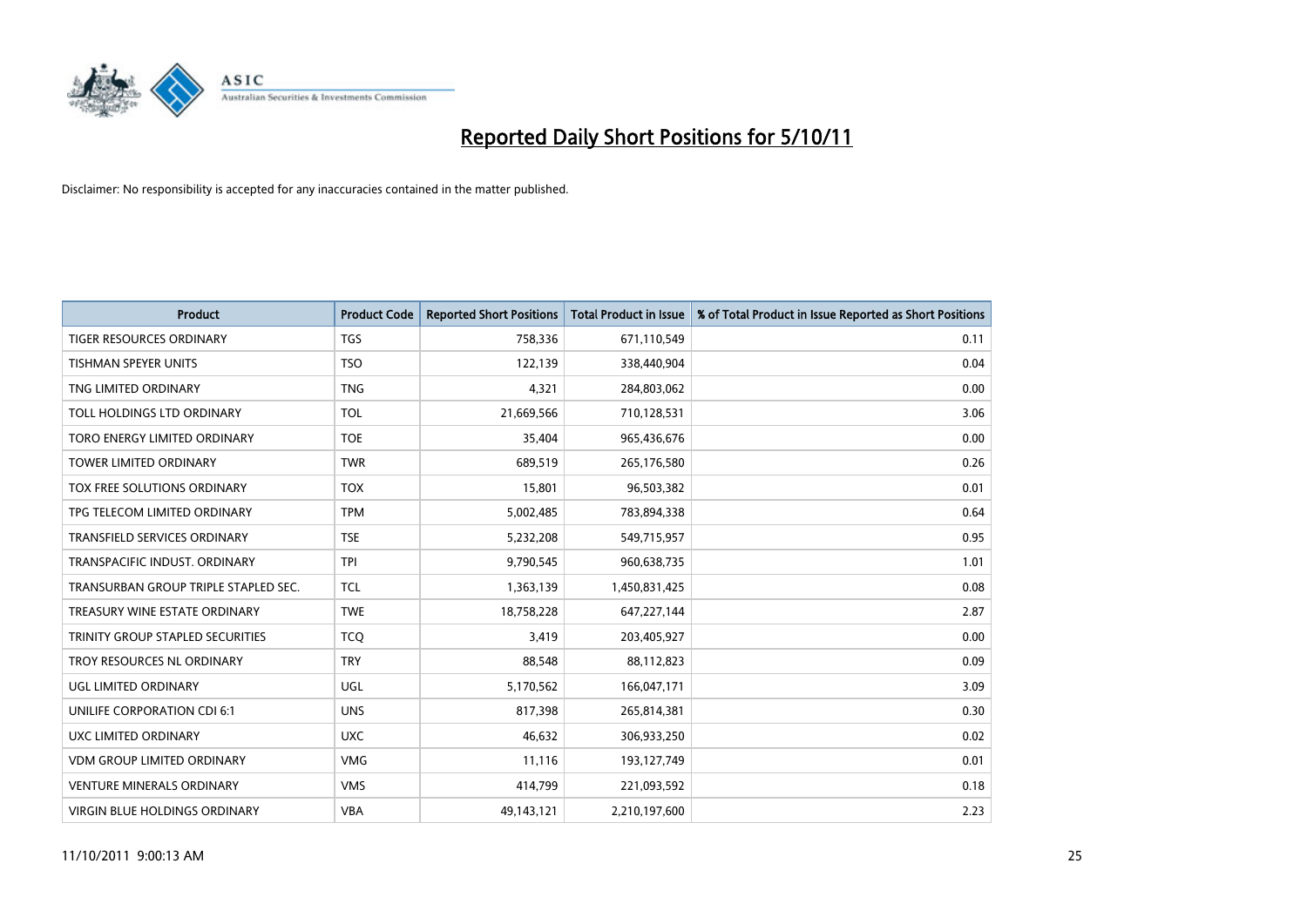

| <b>Product</b>                       | <b>Product Code</b> | <b>Reported Short Positions</b> | <b>Total Product in Issue</b> | % of Total Product in Issue Reported as Short Positions |
|--------------------------------------|---------------------|---------------------------------|-------------------------------|---------------------------------------------------------|
| <b>TIGER RESOURCES ORDINARY</b>      | <b>TGS</b>          | 758,336                         | 671,110,549                   | 0.11                                                    |
| TISHMAN SPEYER UNITS                 | <b>TSO</b>          | 122,139                         | 338,440,904                   | 0.04                                                    |
| TNG LIMITED ORDINARY                 | <b>TNG</b>          | 4,321                           | 284,803,062                   | 0.00                                                    |
| TOLL HOLDINGS LTD ORDINARY           | TOL                 | 21,669,566                      | 710,128,531                   | 3.06                                                    |
| TORO ENERGY LIMITED ORDINARY         | <b>TOE</b>          | 35,404                          | 965,436,676                   | 0.00                                                    |
| <b>TOWER LIMITED ORDINARY</b>        | <b>TWR</b>          | 689,519                         | 265,176,580                   | 0.26                                                    |
| TOX FREE SOLUTIONS ORDINARY          | <b>TOX</b>          | 15,801                          | 96,503,382                    | 0.01                                                    |
| TPG TELECOM LIMITED ORDINARY         | <b>TPM</b>          | 5,002,485                       | 783,894,338                   | 0.64                                                    |
| <b>TRANSFIELD SERVICES ORDINARY</b>  | <b>TSE</b>          | 5,232,208                       | 549,715,957                   | 0.95                                                    |
| TRANSPACIFIC INDUST, ORDINARY        | <b>TPI</b>          | 9,790,545                       | 960,638,735                   | 1.01                                                    |
| TRANSURBAN GROUP TRIPLE STAPLED SEC. | <b>TCL</b>          | 1,363,139                       | 1,450,831,425                 | 0.08                                                    |
| TREASURY WINE ESTATE ORDINARY        | <b>TWE</b>          | 18,758,228                      | 647,227,144                   | 2.87                                                    |
| TRINITY GROUP STAPLED SECURITIES     | <b>TCO</b>          | 3,419                           | 203,405,927                   | 0.00                                                    |
| TROY RESOURCES NL ORDINARY           | <b>TRY</b>          | 88,548                          | 88,112,823                    | 0.09                                                    |
| UGL LIMITED ORDINARY                 | <b>UGL</b>          | 5,170,562                       | 166,047,171                   | 3.09                                                    |
| UNILIFE CORPORATION CDI 6:1          | <b>UNS</b>          | 817,398                         | 265,814,381                   | 0.30                                                    |
| UXC LIMITED ORDINARY                 | <b>UXC</b>          | 46,632                          | 306,933,250                   | 0.02                                                    |
| <b>VDM GROUP LIMITED ORDINARY</b>    | <b>VMG</b>          | 11,116                          | 193,127,749                   | 0.01                                                    |
| <b>VENTURE MINERALS ORDINARY</b>     | <b>VMS</b>          | 414,799                         | 221,093,592                   | 0.18                                                    |
| VIRGIN BLUE HOLDINGS ORDINARY        | <b>VBA</b>          | 49,143,121                      | 2,210,197,600                 | 2.23                                                    |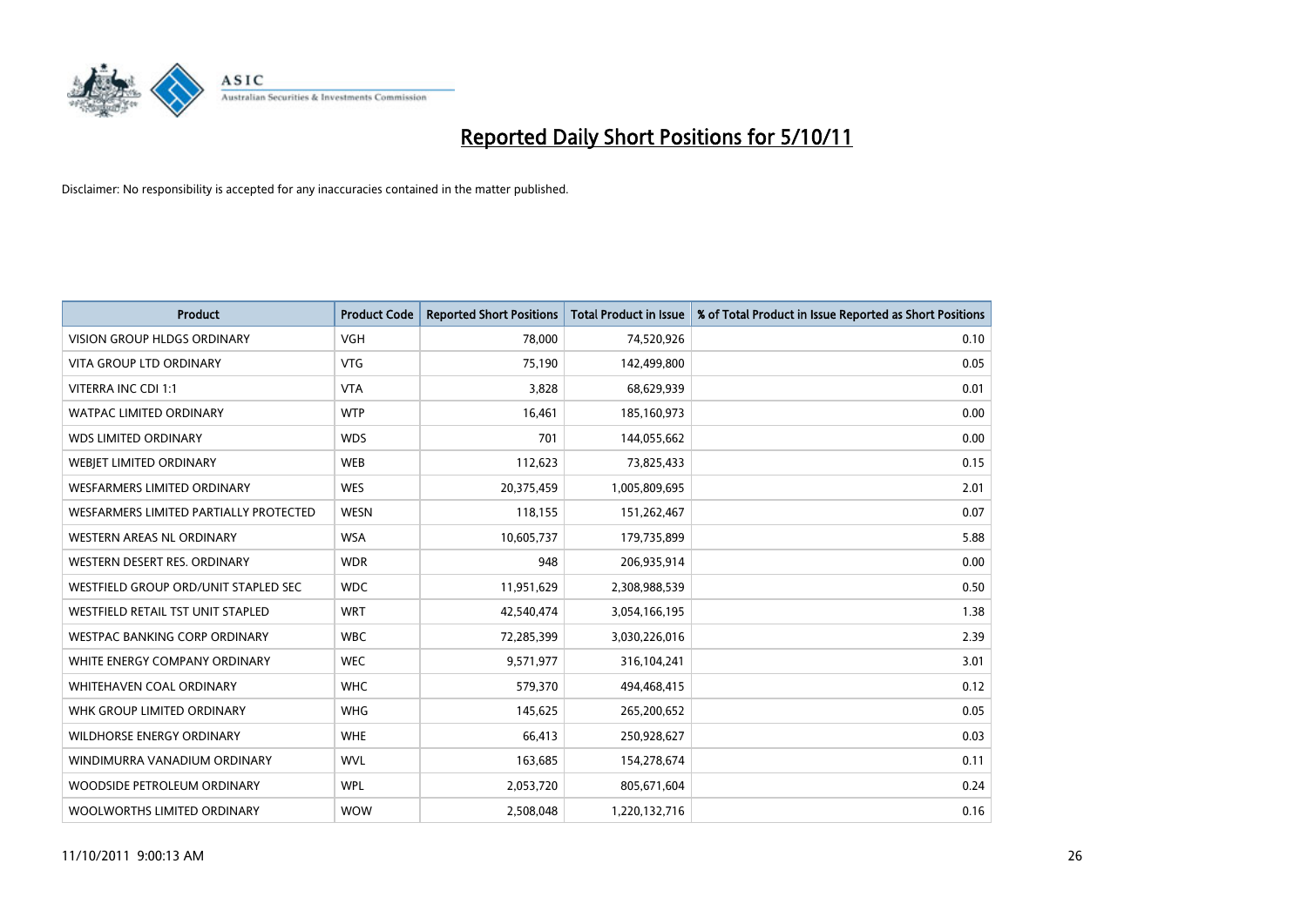

| <b>Product</b>                         | <b>Product Code</b> | <b>Reported Short Positions</b> | <b>Total Product in Issue</b> | % of Total Product in Issue Reported as Short Positions |
|----------------------------------------|---------------------|---------------------------------|-------------------------------|---------------------------------------------------------|
| <b>VISION GROUP HLDGS ORDINARY</b>     | <b>VGH</b>          | 78,000                          | 74,520,926                    | 0.10                                                    |
| <b>VITA GROUP LTD ORDINARY</b>         | <b>VTG</b>          | 75,190                          | 142,499,800                   | 0.05                                                    |
| VITERRA INC CDI 1:1                    | <b>VTA</b>          | 3,828                           | 68,629,939                    | 0.01                                                    |
| WATPAC LIMITED ORDINARY                | <b>WTP</b>          | 16,461                          | 185,160,973                   | 0.00                                                    |
| <b>WDS LIMITED ORDINARY</b>            | <b>WDS</b>          | 701                             | 144,055,662                   | 0.00                                                    |
| WEBIET LIMITED ORDINARY                | <b>WEB</b>          | 112,623                         | 73,825,433                    | 0.15                                                    |
| <b>WESFARMERS LIMITED ORDINARY</b>     | <b>WES</b>          | 20,375,459                      | 1,005,809,695                 | 2.01                                                    |
| WESFARMERS LIMITED PARTIALLY PROTECTED | <b>WESN</b>         | 118,155                         | 151,262,467                   | 0.07                                                    |
| <b>WESTERN AREAS NL ORDINARY</b>       | <b>WSA</b>          | 10,605,737                      | 179,735,899                   | 5.88                                                    |
| WESTERN DESERT RES. ORDINARY           | <b>WDR</b>          | 948                             | 206,935,914                   | 0.00                                                    |
| WESTFIELD GROUP ORD/UNIT STAPLED SEC   | <b>WDC</b>          | 11,951,629                      | 2,308,988,539                 | 0.50                                                    |
| WESTFIELD RETAIL TST UNIT STAPLED      | <b>WRT</b>          | 42,540,474                      | 3,054,166,195                 | 1.38                                                    |
| WESTPAC BANKING CORP ORDINARY          | <b>WBC</b>          | 72,285,399                      | 3,030,226,016                 | 2.39                                                    |
| WHITE ENERGY COMPANY ORDINARY          | <b>WEC</b>          | 9,571,977                       | 316,104,241                   | 3.01                                                    |
| WHITEHAVEN COAL ORDINARY               | <b>WHC</b>          | 579,370                         | 494,468,415                   | 0.12                                                    |
| WHK GROUP LIMITED ORDINARY             | <b>WHG</b>          | 145,625                         | 265,200,652                   | 0.05                                                    |
| WILDHORSE ENERGY ORDINARY              | <b>WHE</b>          | 66,413                          | 250,928,627                   | 0.03                                                    |
| WINDIMURRA VANADIUM ORDINARY           | <b>WVL</b>          | 163,685                         | 154,278,674                   | 0.11                                                    |
| WOODSIDE PETROLEUM ORDINARY            | <b>WPL</b>          | 2,053,720                       | 805,671,604                   | 0.24                                                    |
| WOOLWORTHS LIMITED ORDINARY            | <b>WOW</b>          | 2,508,048                       | 1,220,132,716                 | 0.16                                                    |